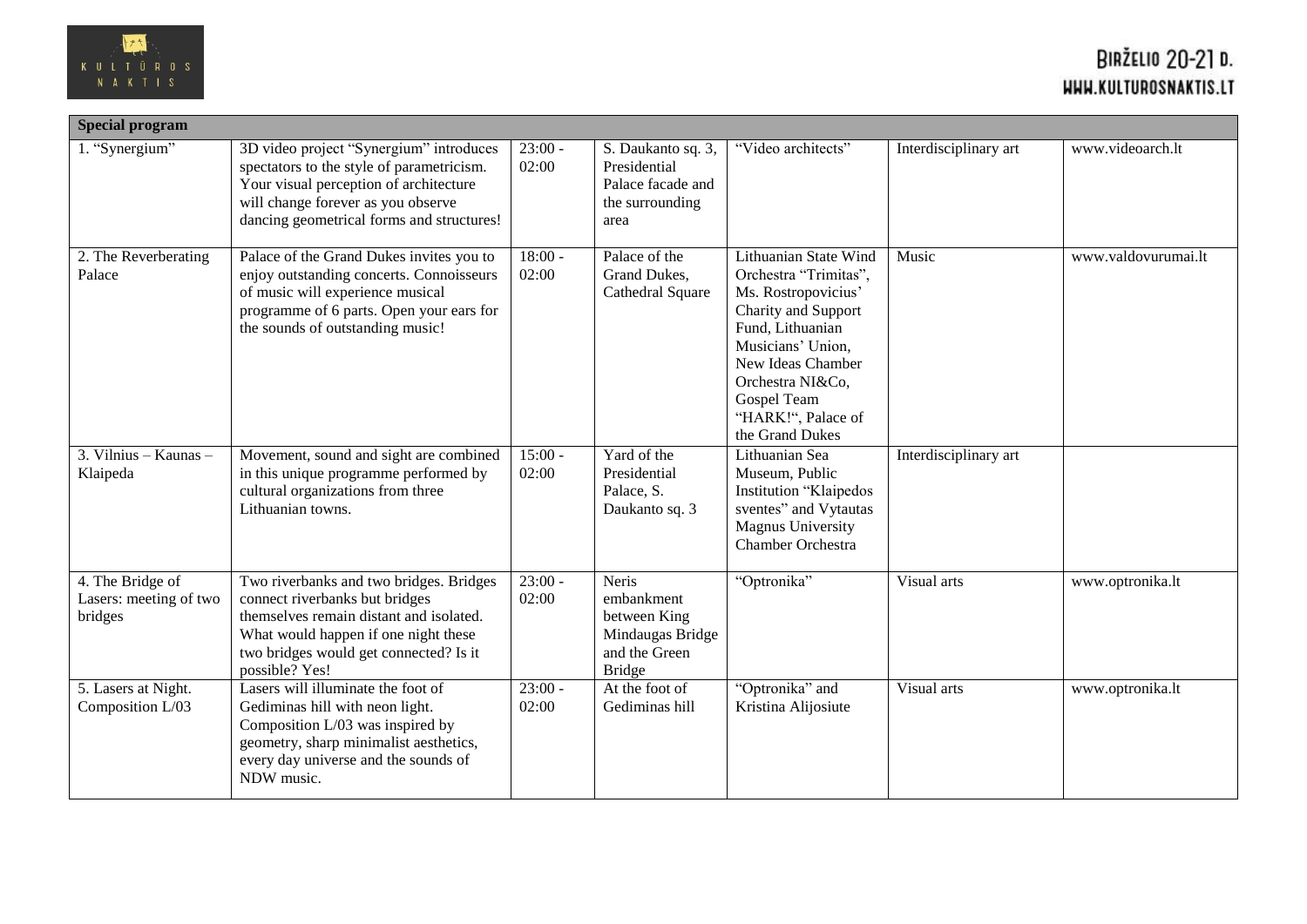

| <b>Special program</b>                                |                                                                                                                                                                                                                          |                    |                                                                                           |                                                                                                                                                                                                                                        |                       |                     |  |
|-------------------------------------------------------|--------------------------------------------------------------------------------------------------------------------------------------------------------------------------------------------------------------------------|--------------------|-------------------------------------------------------------------------------------------|----------------------------------------------------------------------------------------------------------------------------------------------------------------------------------------------------------------------------------------|-----------------------|---------------------|--|
| 1. "Synergium"                                        | 3D video project "Synergium" introduces<br>spectators to the style of parametricism.<br>Your visual perception of architecture<br>will change forever as you observe<br>dancing geometrical forms and structures!        | $23:00 -$<br>02:00 | S. Daukanto sq. 3,<br>Presidential<br>Palace facade and<br>the surrounding<br>area        | "Video architects"                                                                                                                                                                                                                     | Interdisciplinary art | www.videoarch.lt    |  |
| 2. The Reverberating<br>Palace                        | Palace of the Grand Dukes invites you to<br>enjoy outstanding concerts. Connoisseurs<br>of music will experience musical<br>programme of 6 parts. Open your ears for<br>the sounds of outstanding music!                 | $18:00 -$<br>02:00 | Palace of the<br>Grand Dukes,<br>Cathedral Square                                         | Lithuanian State Wind<br>Orchestra "Trimitas",<br>Ms. Rostropovicius'<br>Charity and Support<br>Fund, Lithuanian<br>Musicians' Union,<br>New Ideas Chamber<br>Orchestra NI&Co.<br>Gospel Team<br>"HARK!", Palace of<br>the Grand Dukes | Music                 | www.valdovurumai.lt |  |
| 3. Vilnius - Kaunas -<br>Klaipeda                     | Movement, sound and sight are combined<br>in this unique programme performed by<br>cultural organizations from three<br>Lithuanian towns.                                                                                | $15:00 -$<br>02:00 | Yard of the<br>Presidential<br>Palace, S.<br>Daukanto sq. 3                               | Lithuanian Sea<br>Museum, Public<br>Institution "Klaipedos<br>sventes" and Vytautas<br><b>Magnus University</b><br>Chamber Orchestra                                                                                                   | Interdisciplinary art |                     |  |
| 4. The Bridge of<br>Lasers: meeting of two<br>bridges | Two riverbanks and two bridges. Bridges<br>connect riverbanks but bridges<br>themselves remain distant and isolated.<br>What would happen if one night these<br>two bridges would get connected? Is it<br>possible? Yes! | $23:00 -$<br>02:00 | Neris<br>embankment<br>between King<br>Mindaugas Bridge<br>and the Green<br><b>Bridge</b> | "Optronika"                                                                                                                                                                                                                            | Visual arts           | www.optronika.lt    |  |
| 5. Lasers at Night.<br>Composition L/03               | Lasers will illuminate the foot of<br>Gediminas hill with neon light.<br>Composition L/03 was inspired by<br>geometry, sharp minimalist aesthetics,<br>every day universe and the sounds of<br>NDW music.                | $23:00 -$<br>02:00 | At the foot of<br>Gediminas hill                                                          | "Optronika" and<br>Kristina Alijosiute                                                                                                                                                                                                 | Visual arts           | www.optronika.lt    |  |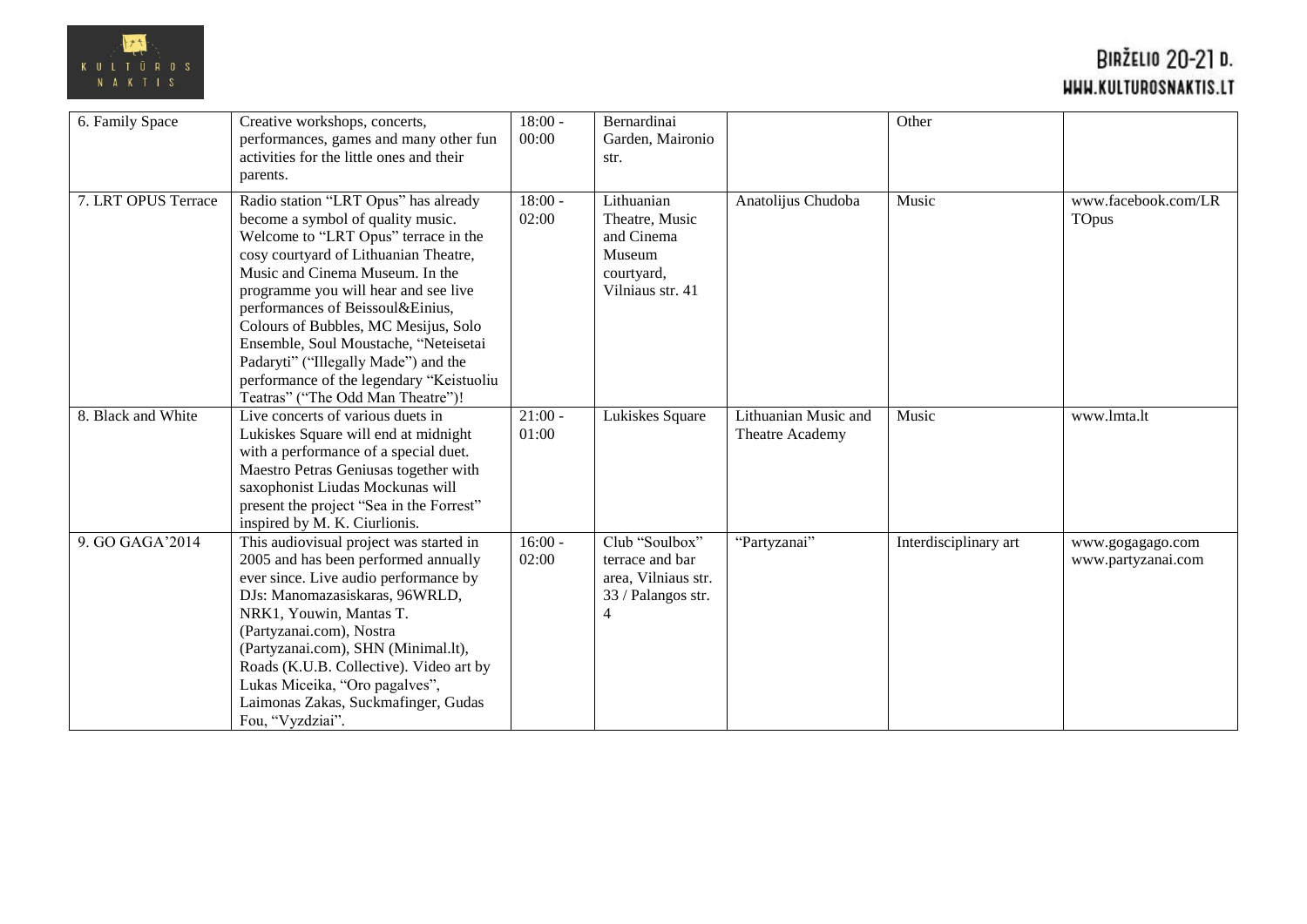

| 6. Family Space     | Creative workshops, concerts,            | $18:00 -$ | Bernardinai         |                      | Other                 |                     |
|---------------------|------------------------------------------|-----------|---------------------|----------------------|-----------------------|---------------------|
|                     |                                          |           |                     |                      |                       |                     |
|                     | performances, games and many other fun   | 00:00     | Garden, Maironio    |                      |                       |                     |
|                     | activities for the little ones and their |           | str.                |                      |                       |                     |
|                     | parents.                                 |           |                     |                      |                       |                     |
| 7. LRT OPUS Terrace | Radio station "LRT Opus" has already     | $18:00 -$ | Lithuanian          | Anatolijus Chudoba   | Music                 | www.facebook.com/LR |
|                     | become a symbol of quality music.        | 02:00     | Theatre, Music      |                      |                       | TOpus               |
|                     | Welcome to "LRT Opus" terrace in the     |           | and Cinema          |                      |                       |                     |
|                     | cosy courtyard of Lithuanian Theatre,    |           | Museum              |                      |                       |                     |
|                     | Music and Cinema Museum. In the          |           | courtyard,          |                      |                       |                     |
|                     | programme you will hear and see live     |           | Vilniaus str. 41    |                      |                       |                     |
|                     | performances of Beissoul&Einius,         |           |                     |                      |                       |                     |
|                     | Colours of Bubbles, MC Mesijus, Solo     |           |                     |                      |                       |                     |
|                     | Ensemble, Soul Moustache, "Neteisetai    |           |                     |                      |                       |                     |
|                     | Padaryti" ("Illegally Made") and the     |           |                     |                      |                       |                     |
|                     | performance of the legendary "Keistuoliu |           |                     |                      |                       |                     |
|                     | Teatras" ("The Odd Man Theatre")!        |           |                     |                      |                       |                     |
| 8. Black and White  | Live concerts of various duets in        | $21:00 -$ | Lukiskes Square     | Lithuanian Music and | Music                 | www.lmta.lt         |
|                     | Lukiskes Square will end at midnight     | 01:00     |                     | Theatre Academy      |                       |                     |
|                     | with a performance of a special duet.    |           |                     |                      |                       |                     |
|                     | Maestro Petras Geniusas together with    |           |                     |                      |                       |                     |
|                     | saxophonist Liudas Mockunas will         |           |                     |                      |                       |                     |
|                     | present the project "Sea in the Forrest" |           |                     |                      |                       |                     |
|                     | inspired by M. K. Ciurlionis.            |           |                     |                      |                       |                     |
| 9. GO GAGA'2014     | This audiovisual project was started in  | $16:00 -$ | Club "Soulbox"      | "Partyzanai"         | Interdisciplinary art | www.gogagago.com    |
|                     | 2005 and has been performed annually     | 02:00     | terrace and bar     |                      |                       | www.partyzanai.com  |
|                     | ever since. Live audio performance by    |           | area, Vilniaus str. |                      |                       |                     |
|                     | DJs: Manomazasiskaras, 96WRLD,           |           | 33 / Palangos str.  |                      |                       |                     |
|                     | NRK1, Youwin, Mantas T.                  |           |                     |                      |                       |                     |
|                     | (Partyzanai.com), Nostra                 |           |                     |                      |                       |                     |
|                     | (Partyzanai.com), SHN (Minimal.lt),      |           |                     |                      |                       |                     |
|                     | Roads (K.U.B. Collective). Video art by  |           |                     |                      |                       |                     |
|                     | Lukas Miceika, "Oro pagalves",           |           |                     |                      |                       |                     |
|                     | Laimonas Zakas, Suckmafinger, Gudas      |           |                     |                      |                       |                     |
|                     | Fou, "Vyzdziai".                         |           |                     |                      |                       |                     |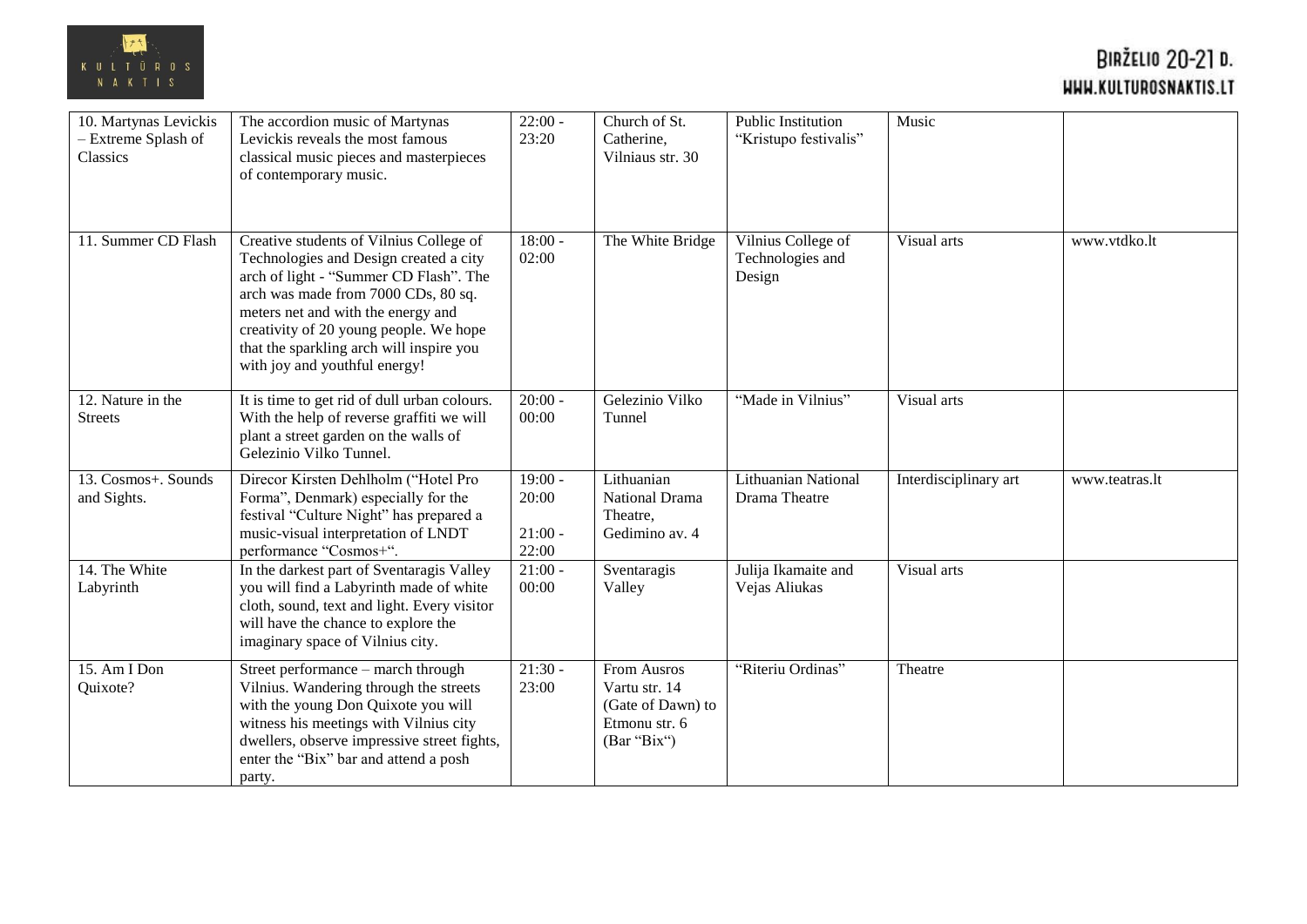

| 10. Martynas Levickis<br>- Extreme Splash of<br>Classics | The accordion music of Martynas<br>Levickis reveals the most famous<br>classical music pieces and masterpieces<br>of contemporary music.                                                                                                                                                                                        | $22:00 -$<br>23:20                       | Church of St.<br>Catherine,<br>Vilniaus str. 30                                          | Public Institution<br>"Kristupo festivalis"      | Music                 |                |
|----------------------------------------------------------|---------------------------------------------------------------------------------------------------------------------------------------------------------------------------------------------------------------------------------------------------------------------------------------------------------------------------------|------------------------------------------|------------------------------------------------------------------------------------------|--------------------------------------------------|-----------------------|----------------|
| 11. Summer CD Flash                                      | Creative students of Vilnius College of<br>Technologies and Design created a city<br>arch of light - "Summer CD Flash". The<br>arch was made from 7000 CDs, 80 sq.<br>meters net and with the energy and<br>creativity of 20 young people. We hope<br>that the sparkling arch will inspire you<br>with joy and youthful energy! | $18:00 -$<br>02:00                       | The White Bridge                                                                         | Vilnius College of<br>Technologies and<br>Design | Visual arts           | www.vtdko.lt   |
| 12. Nature in the<br><b>Streets</b>                      | It is time to get rid of dull urban colours.<br>With the help of reverse graffiti we will<br>plant a street garden on the walls of<br>Gelezinio Vilko Tunnel.                                                                                                                                                                   | $20:00 -$<br>00:00                       | Gelezinio Vilko<br>Tunnel                                                                | "Made in Vilnius"                                | Visual arts           |                |
| 13. Cosmos+. Sounds<br>and Sights.                       | Direcor Kirsten Dehlholm ("Hotel Pro<br>Forma", Denmark) especially for the<br>festival "Culture Night" has prepared a<br>music-visual interpretation of LNDT<br>performance "Cosmos+".                                                                                                                                         | $19:00 -$<br>20:00<br>$21:00 -$<br>22:00 | Lithuanian<br>National Drama<br>Theatre,<br>Gedimino av. 4                               | Lithuanian National<br>Drama Theatre             | Interdisciplinary art | www.teatras.lt |
| 14. The White<br>Labyrinth                               | In the darkest part of Sventaragis Valley<br>you will find a Labyrinth made of white<br>cloth, sound, text and light. Every visitor<br>will have the chance to explore the<br>imaginary space of Vilnius city.                                                                                                                  | $21:00 -$<br>00:00                       | Sventaragis<br>Valley                                                                    | Julija Ikamaite and<br>Vejas Aliukas             | Visual arts           |                |
| 15. Am I Don<br>Quixote?                                 | Street performance - march through<br>Vilnius. Wandering through the streets<br>with the young Don Quixote you will<br>witness his meetings with Vilnius city<br>dwellers, observe impressive street fights,<br>enter the "Bix" bar and attend a posh<br>party.                                                                 | $21:30 -$<br>23:00                       | <b>From Ausros</b><br>Vartu str. 14<br>(Gate of Dawn) to<br>Etmonu str. 6<br>(Bar "Bix") | "Riteriu Ordinas"                                | Theatre               |                |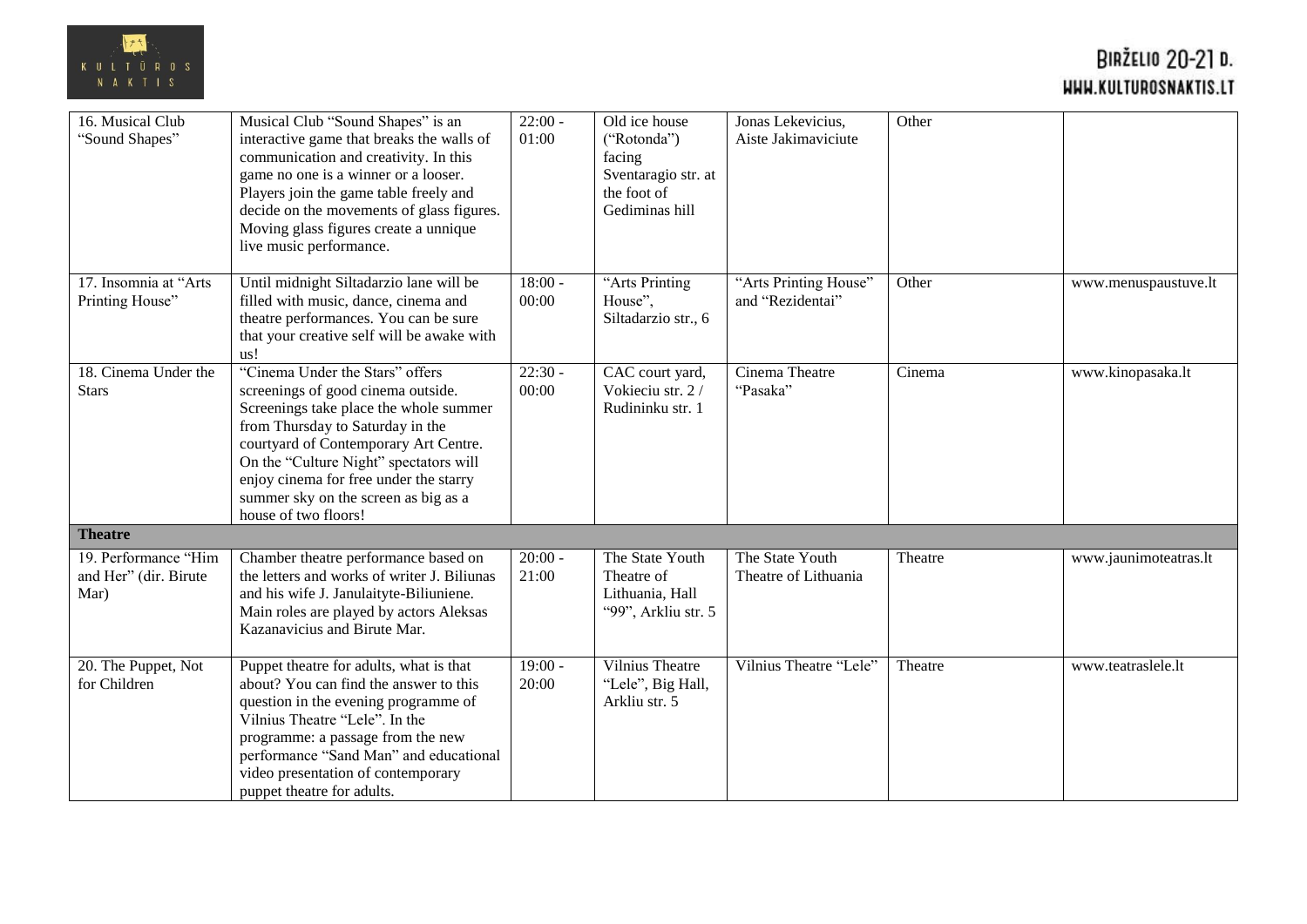

| 16. Musical Club<br>"Sound Shapes"                    | Musical Club "Sound Shapes" is an<br>interactive game that breaks the walls of<br>communication and creativity. In this<br>game no one is a winner or a looser.<br>Players join the game table freely and<br>decide on the movements of glass figures.<br>Moving glass figures create a unnique<br>live music performance.                       | $22:00 -$<br>01:00 | Old ice house<br>("Rotonda")<br>facing<br>Sventaragio str. at<br>the foot of<br>Gediminas hill | Jonas Lekevicius,<br>Aiste Jakimaviciute  | Other   |                       |
|-------------------------------------------------------|--------------------------------------------------------------------------------------------------------------------------------------------------------------------------------------------------------------------------------------------------------------------------------------------------------------------------------------------------|--------------------|------------------------------------------------------------------------------------------------|-------------------------------------------|---------|-----------------------|
| 17. Insomnia at "Arts"<br>Printing House"             | Until midnight Siltadarzio lane will be<br>filled with music, dance, cinema and<br>theatre performances. You can be sure<br>that your creative self will be awake with<br>us!                                                                                                                                                                    | $18:00 -$<br>00:00 | "Arts Printing<br>House",<br>Siltadarzio str., 6                                               | "Arts Printing House"<br>and "Rezidentai" | Other   | www.menuspaustuve.lt  |
| 18. Cinema Under the<br><b>Stars</b>                  | "Cinema Under the Stars" offers<br>screenings of good cinema outside.<br>Screenings take place the whole summer<br>from Thursday to Saturday in the<br>courtyard of Contemporary Art Centre.<br>On the "Culture Night" spectators will<br>enjoy cinema for free under the starry<br>summer sky on the screen as big as a<br>house of two floors! | $22:30 -$<br>00:00 | CAC court yard,<br>Vokieciu str. 2/<br>Rudininku str. 1                                        | Cinema Theatre<br>"Pasaka"                | Cinema  | www.kinopasaka.lt     |
| <b>Theatre</b>                                        |                                                                                                                                                                                                                                                                                                                                                  |                    |                                                                                                |                                           |         |                       |
| 19. Performance "Him<br>and Her" (dir. Birute<br>Mar) | Chamber theatre performance based on<br>the letters and works of writer J. Biliunas<br>and his wife J. Janulaityte-Biliuniene.<br>Main roles are played by actors Aleksas<br>Kazanavicius and Birute Mar.                                                                                                                                        | $20:00 -$<br>21:00 | The State Youth<br>Theatre of<br>Lithuania, Hall<br>"99", Arkliu str. 5                        | The State Youth<br>Theatre of Lithuania   | Theatre | www.jaunimoteatras.lt |
| 20. The Puppet, Not<br>for Children                   | Puppet theatre for adults, what is that<br>about? You can find the answer to this<br>question in the evening programme of<br>Vilnius Theatre "Lele". In the<br>programme: a passage from the new<br>performance "Sand Man" and educational<br>video presentation of contemporary<br>puppet theatre for adults.                                   | $19:00 -$<br>20:00 | Vilnius Theatre<br>"Lele", Big Hall,<br>Arkliu str. 5                                          | Vilnius Theatre "Lele"                    | Theatre | www.teatraslele.lt    |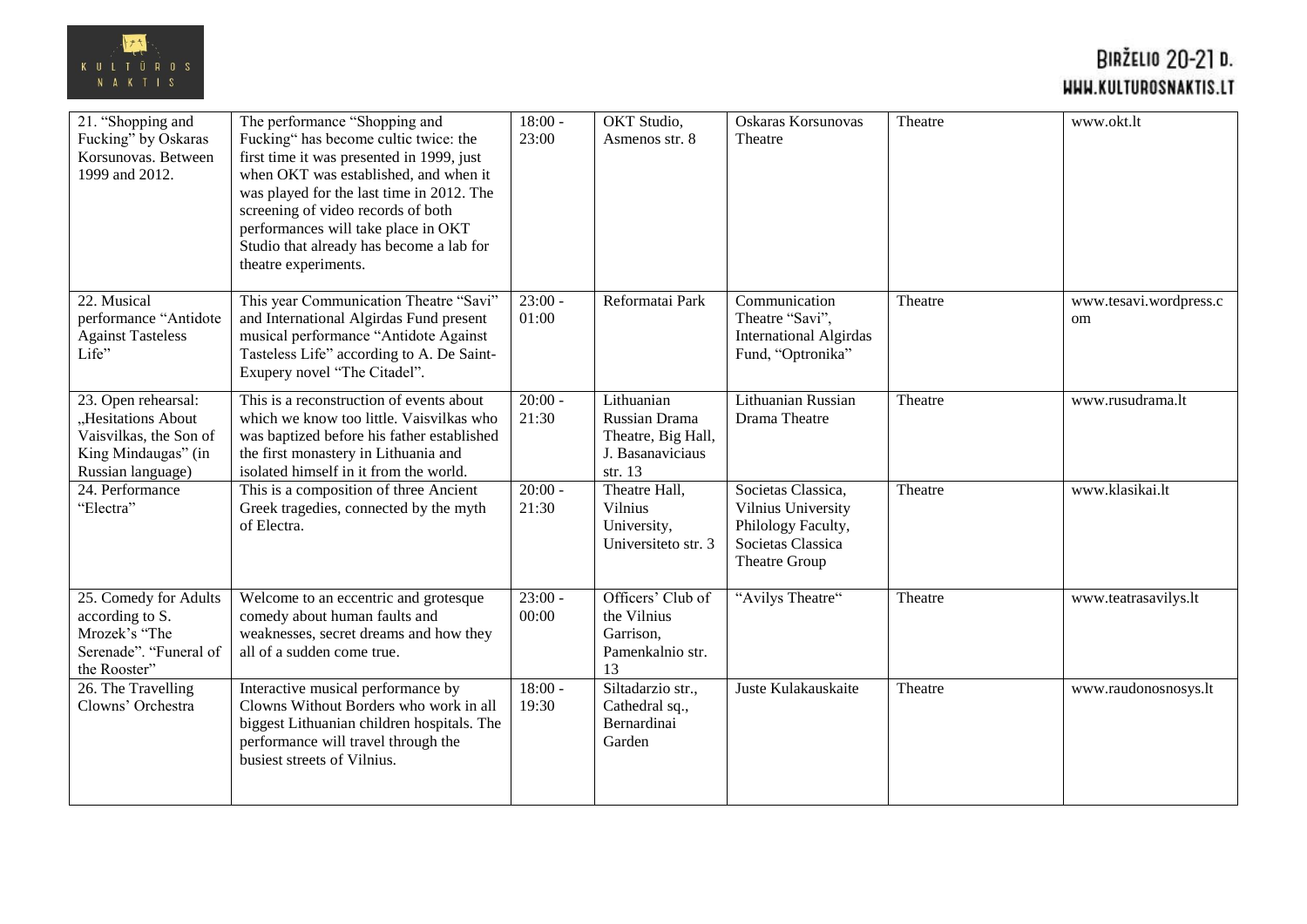

| 21. "Shopping and<br>Fucking" by Oskaras<br>Korsunovas. Between<br>1999 and 2012.                               | The performance "Shopping and<br>Fucking" has become cultic twice: the<br>first time it was presented in 1999, just<br>when OKT was established, and when it<br>was played for the last time in 2012. The<br>screening of video records of both<br>performances will take place in OKT<br>Studio that already has become a lab for<br>theatre experiments. | $18:00 -$<br>23:00 | <b>OKT</b> Studio,<br>Asmenos str. 8                                             | Oskaras Korsunovas<br>Theatre                                                                        | Theatre | www.okt.lt                   |
|-----------------------------------------------------------------------------------------------------------------|------------------------------------------------------------------------------------------------------------------------------------------------------------------------------------------------------------------------------------------------------------------------------------------------------------------------------------------------------------|--------------------|----------------------------------------------------------------------------------|------------------------------------------------------------------------------------------------------|---------|------------------------------|
| 22. Musical<br>performance "Antidote<br><b>Against Tasteless</b><br>Life"                                       | This year Communication Theatre "Savi"<br>and International Algirdas Fund present<br>musical performance "Antidote Against<br>Tasteless Life" according to A. De Saint-<br>Exupery novel "The Citadel".                                                                                                                                                    | $23:00 -$<br>01:00 | Reformatai Park                                                                  | Communication<br>Theatre "Savi",<br><b>International Algirdas</b><br>Fund, "Optronika"               | Theatre | www.tesavi.wordpress.c<br>om |
| 23. Open rehearsal:<br>"Hesitations About<br>Vaisvilkas, the Son of<br>King Mindaugas" (in<br>Russian language) | This is a reconstruction of events about<br>which we know too little. Vaisvilkas who<br>was baptized before his father established<br>the first monastery in Lithuania and<br>isolated himself in it from the world.                                                                                                                                       | $20:00 -$<br>21:30 | Lithuanian<br>Russian Drama<br>Theatre, Big Hall,<br>J. Basanaviciaus<br>str. 13 | Lithuanian Russian<br>Drama Theatre                                                                  | Theatre | www.rusudrama.lt             |
| 24. Performance<br>"Electra"                                                                                    | This is a composition of three Ancient<br>Greek tragedies, connected by the myth<br>of Electra.                                                                                                                                                                                                                                                            | $20:00 -$<br>21:30 | Theatre Hall,<br>Vilnius<br>University,<br>Universiteto str. 3                   | Societas Classica,<br>Vilnius University<br>Philology Faculty,<br>Societas Classica<br>Theatre Group | Theatre | www.klasikai.lt              |
| 25. Comedy for Adults<br>according to S.<br>Mrozek's "The<br>Serenade". "Funeral of<br>the Rooster"             | Welcome to an eccentric and grotesque<br>comedy about human faults and<br>weaknesses, secret dreams and how they<br>all of a sudden come true.                                                                                                                                                                                                             | $23:00 -$<br>00:00 | Officers' Club of<br>the Vilnius<br>Garrison.<br>Pamenkalnio str.<br>13          | "Avilys Theatre"                                                                                     | Theatre | www.teatrasavilys.lt         |
| 26. The Travelling<br>Clowns' Orchestra                                                                         | Interactive musical performance by<br>Clowns Without Borders who work in all<br>biggest Lithuanian children hospitals. The<br>performance will travel through the<br>busiest streets of Vilnius.                                                                                                                                                           | $18:00 -$<br>19:30 | Siltadarzio str.,<br>Cathedral sq.,<br>Bernardinai<br>Garden                     | Juste Kulakauskaite                                                                                  | Theatre | www.raudonosnosys.lt         |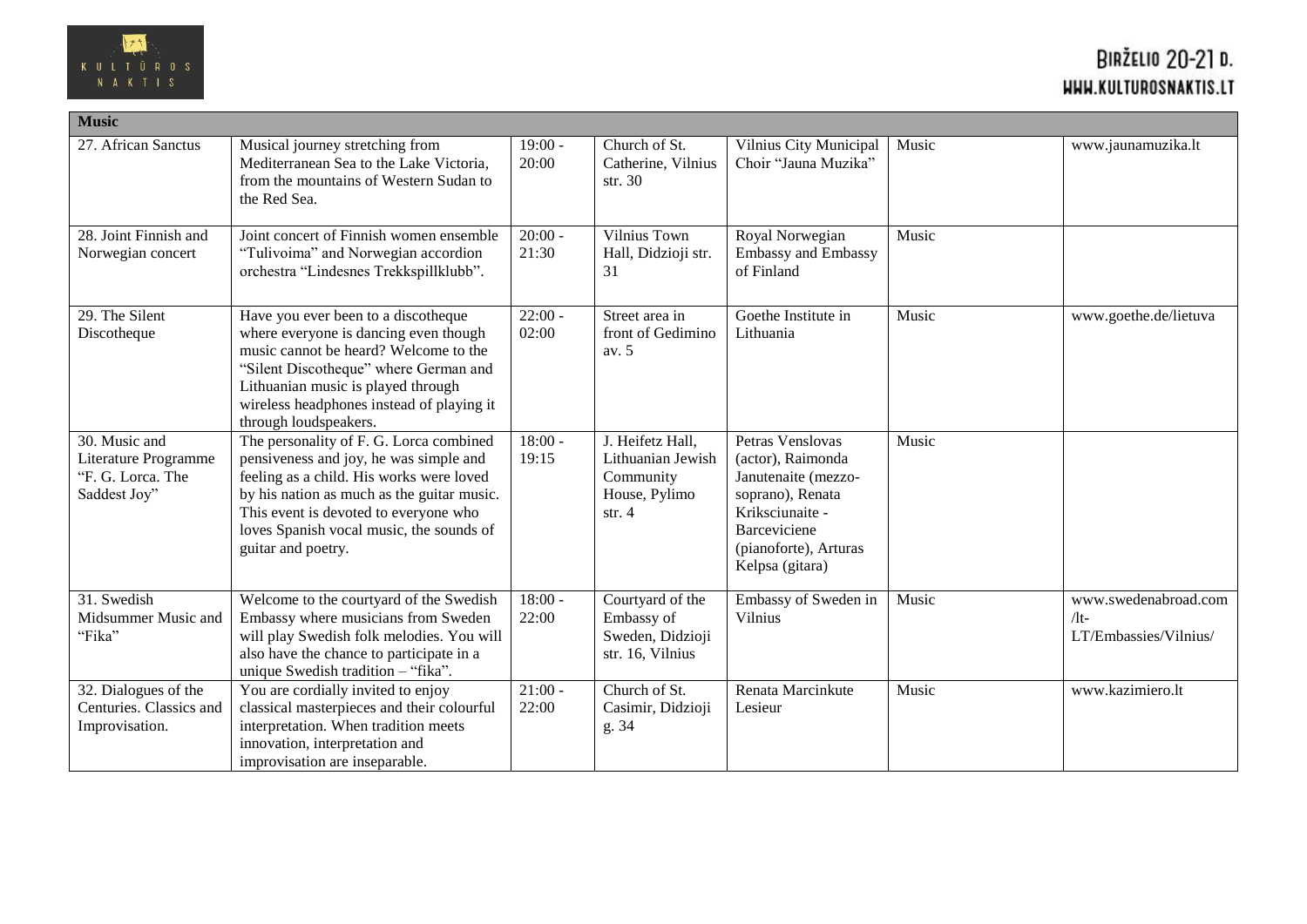

| <b>Music</b>                                                               |                                                                                                                                                                                                                                                                                        |                               |                                                                                 |                                                                                                                                                                 |       |                                                      |
|----------------------------------------------------------------------------|----------------------------------------------------------------------------------------------------------------------------------------------------------------------------------------------------------------------------------------------------------------------------------------|-------------------------------|---------------------------------------------------------------------------------|-----------------------------------------------------------------------------------------------------------------------------------------------------------------|-------|------------------------------------------------------|
| 27. African Sanctus                                                        | Musical journey stretching from<br>Mediterranean Sea to the Lake Victoria,<br>from the mountains of Western Sudan to<br>the Red Sea.                                                                                                                                                   | $19:00 -$<br>20:00            | Church of St.<br>Catherine, Vilnius<br>str. 30                                  | Vilnius City Municipal<br>Choir "Jauna Muzika"                                                                                                                  | Music | www.jaunamuzika.lt                                   |
| 28. Joint Finnish and<br>Norwegian concert                                 | Joint concert of Finnish women ensemble<br>"Tulivoima" and Norwegian accordion<br>orchestra "Lindesnes Trekkspillklubb".                                                                                                                                                               | $20:00 -$<br>21:30            | Vilnius Town<br>Hall, Didzioji str.<br>31                                       | Royal Norwegian<br>Embassy and Embassy<br>of Finland                                                                                                            | Music |                                                      |
| 29. The Silent<br>Discotheque                                              | Have you ever been to a discotheque<br>where everyone is dancing even though<br>music cannot be heard? Welcome to the<br>"Silent Discotheque" where German and<br>Lithuanian music is played through<br>wireless headphones instead of playing it<br>through loudspeakers.             | $22:00 -$<br>02:00            | Street area in<br>front of Gedimino<br>av. 5                                    | Goethe Institute in<br>Lithuania                                                                                                                                | Music | www.goethe.de/lietuva                                |
| 30. Music and<br>Literature Programme<br>"F. G. Lorca. The<br>Saddest Joy" | The personality of F. G. Lorca combined<br>pensiveness and joy, he was simple and<br>feeling as a child. His works were loved<br>by his nation as much as the guitar music.<br>This event is devoted to everyone who<br>loves Spanish vocal music, the sounds of<br>guitar and poetry. | $18:00 -$<br>19:15            | J. Heifetz Hall,<br>Lithuanian Jewish<br>Community<br>House, Pylimo<br>str. $4$ | Petras Venslovas<br>(actor), Raimonda<br>Janutenaite (mezzo-<br>soprano), Renata<br>Kriksciunaite -<br>Barceviciene<br>(pianoforte), Arturas<br>Kelpsa (gitara) | Music |                                                      |
| 31. Swedish<br>Midsummer Music and<br>"Fika"                               | Welcome to the courtyard of the Swedish<br>Embassy where musicians from Sweden<br>will play Swedish folk melodies. You will<br>also have the chance to participate in a<br>unique Swedish tradition - "fika".                                                                          | $18:00 -$<br>22:00            | Courtyard of the<br>Embassy of<br>Sweden, Didzioji<br>str. 16, Vilnius          | Embassy of Sweden in<br><b>Vilnius</b>                                                                                                                          | Music | www.swedenabroad.com<br>/1t<br>LT/Embassies/Vilnius/ |
| 32. Dialogues of the<br>Centuries. Classics and<br>Improvisation.          | You are cordially invited to enjoy<br>classical masterpieces and their colourful<br>interpretation. When tradition meets<br>innovation, interpretation and<br>improvisation are inseparable.                                                                                           | $\overline{2}1:00$ -<br>22:00 | Church of St.<br>Casimir, Didzioji<br>g. 34                                     | Renata Marcinkute<br>Lesieur                                                                                                                                    | Music | www.kazimiero.lt                                     |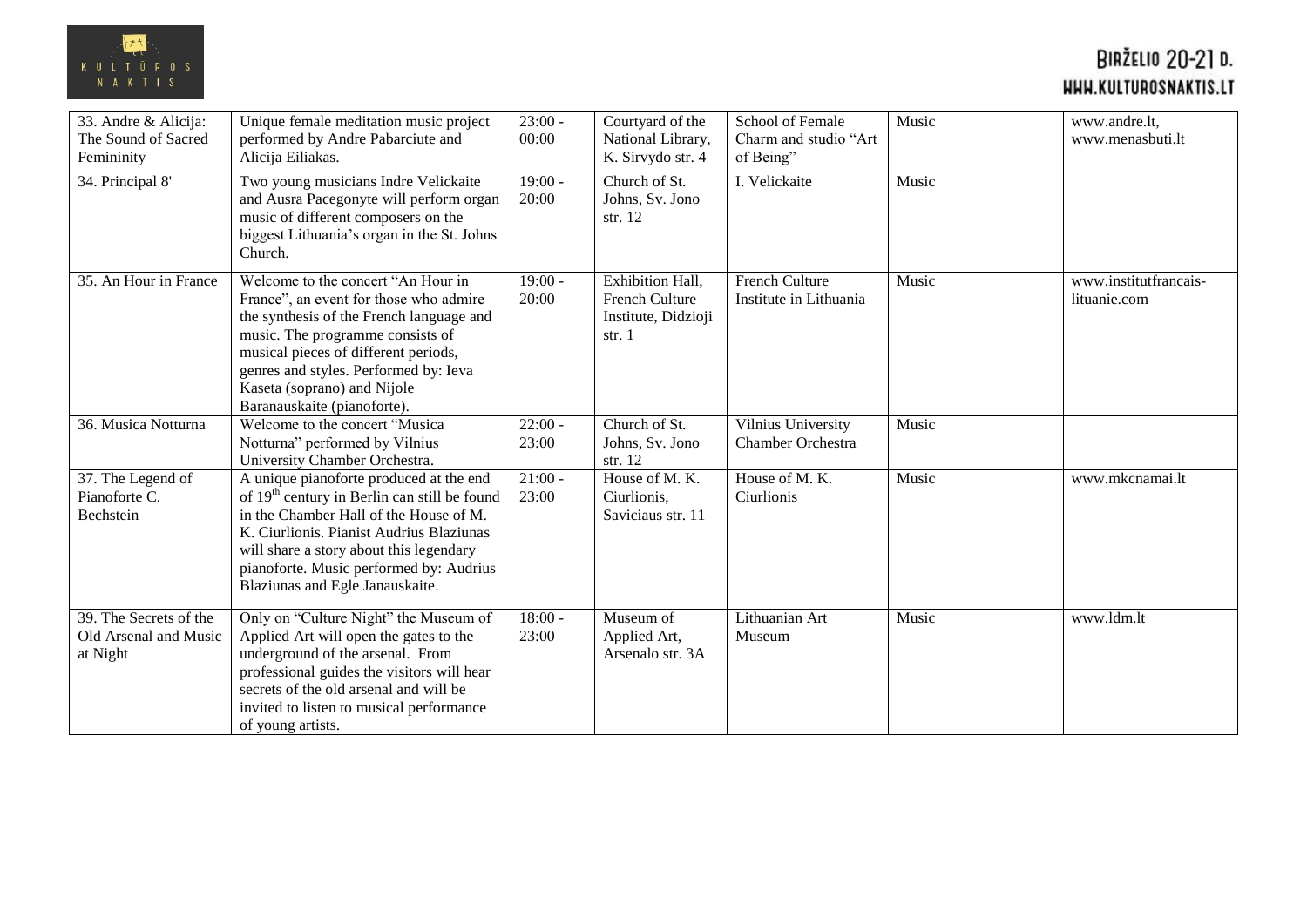

| 33. Andre & Alicija:<br>The Sound of Sacred<br>Femininity   | Unique female meditation music project<br>performed by Andre Pabarciute and<br>Alicija Eiliakas.                                                                                                                                                                                                                   | $23:00 -$<br>00:00 | Courtyard of the<br>National Library,<br>K. Sirvydo str. 4                 | School of Female<br>Charm and studio "Art<br>of Being" | Music | www.andre.lt,<br>www.menasbuti.lt     |
|-------------------------------------------------------------|--------------------------------------------------------------------------------------------------------------------------------------------------------------------------------------------------------------------------------------------------------------------------------------------------------------------|--------------------|----------------------------------------------------------------------------|--------------------------------------------------------|-------|---------------------------------------|
| 34. Principal 8'                                            | Two young musicians Indre Velickaite<br>and Ausra Pacegonyte will perform organ<br>music of different composers on the<br>biggest Lithuania's organ in the St. Johns<br>Church.                                                                                                                                    | $19:00 -$<br>20:00 | Church of St.<br>Johns, Sv. Jono<br>str. $12$                              | I. Velickaite                                          | Music |                                       |
| 35. An Hour in France                                       | Welcome to the concert "An Hour in<br>France", an event for those who admire<br>the synthesis of the French language and<br>music. The programme consists of<br>musical pieces of different periods,<br>genres and styles. Performed by: Ieva<br>Kaseta (soprano) and Nijole<br>Baranauskaite (pianoforte).        | $19:00 -$<br>20:00 | Exhibition Hall,<br><b>French Culture</b><br>Institute, Didzioji<br>str. 1 | <b>French Culture</b><br>Institute in Lithuania        | Music | www.institutfrancais-<br>lituanie.com |
| 36. Musica Notturna                                         | Welcome to the concert "Musica"<br>Notturna" performed by Vilnius<br>University Chamber Orchestra.                                                                                                                                                                                                                 | $22:00 -$<br>23:00 | Church of St.<br>Johns, Sv. Jono<br>str. 12                                | Vilnius University<br>Chamber Orchestra                | Music |                                       |
| 37. The Legend of<br>Pianoforte C.<br><b>Bechstein</b>      | A unique pianoforte produced at the end<br>of 19 <sup>th</sup> century in Berlin can still be found<br>in the Chamber Hall of the House of M.<br>K. Ciurlionis. Pianist Audrius Blaziunas<br>will share a story about this legendary<br>pianoforte. Music performed by: Audrius<br>Blaziunas and Egle Janauskaite. | $21:00 -$<br>23:00 | House of M.K.<br>Ciurlionis,<br>Saviciaus str. 11                          | House of M.K.<br>Ciurlionis                            | Music | www.mkcnamai.lt                       |
| 39. The Secrets of the<br>Old Arsenal and Music<br>at Night | Only on "Culture Night" the Museum of<br>Applied Art will open the gates to the<br>underground of the arsenal. From<br>professional guides the visitors will hear<br>secrets of the old arsenal and will be<br>invited to listen to musical performance<br>of young artists.                                       | $18:00 -$<br>23:00 | Museum of<br>Applied Art,<br>Arsenalo str. 3A                              | Lithuanian Art<br>Museum                               | Music | www.ldm.lt                            |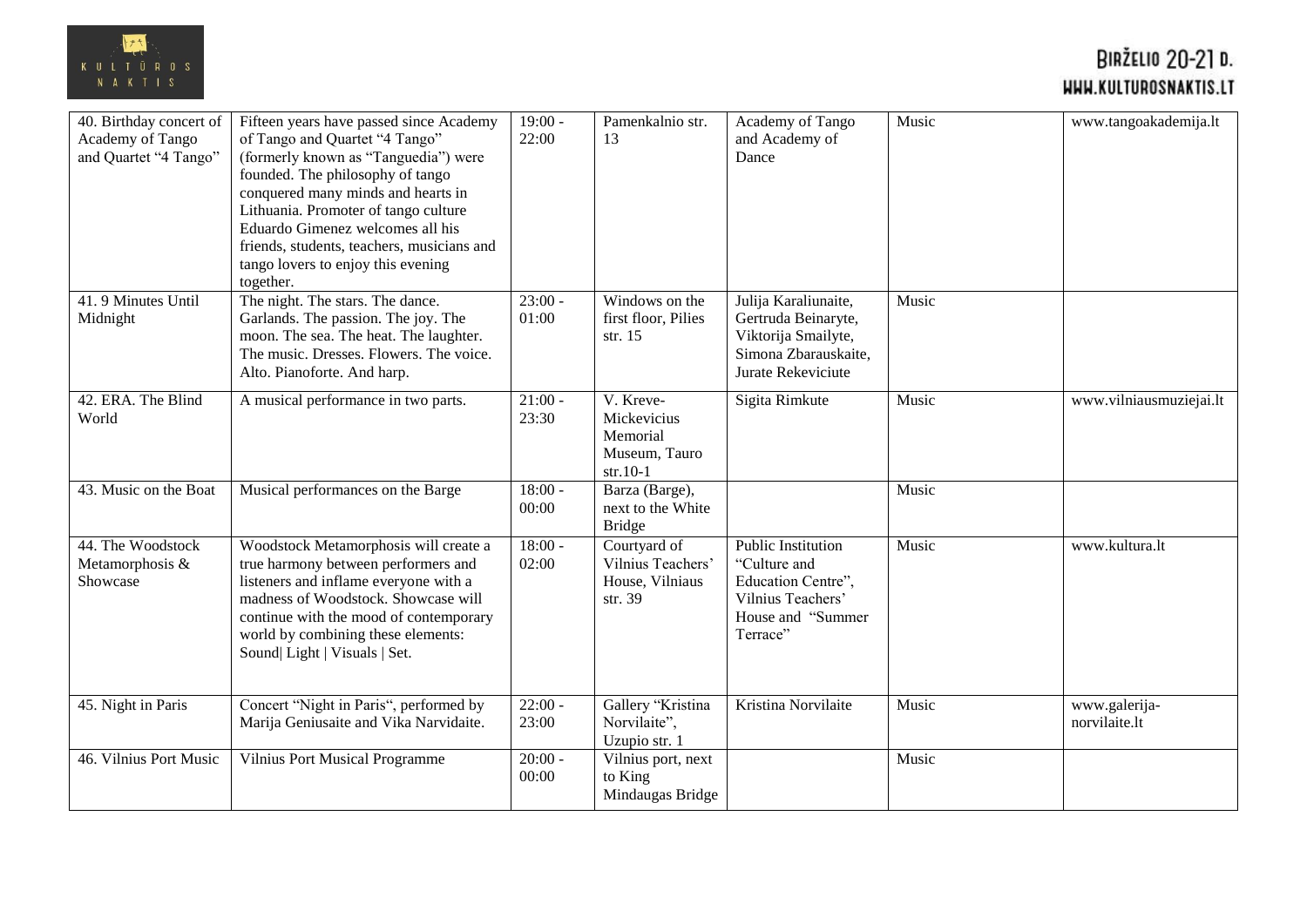

| 40. Birthday concert of<br>Academy of Tango<br>and Quartet "4 Tango" | Fifteen years have passed since Academy<br>of Tango and Quartet "4 Tango"<br>(formerly known as "Tanguedia") were<br>founded. The philosophy of tango<br>conquered many minds and hearts in<br>Lithuania. Promoter of tango culture<br>Eduardo Gimenez welcomes all his<br>friends, students, teachers, musicians and<br>tango lovers to enjoy this evening<br>together. | $19:00 -$<br>22:00 | Pamenkalnio str.<br>13                                              | Academy of Tango<br>and Academy of<br>Dance                                                                           | Music | www.tangoakademija.lt          |
|----------------------------------------------------------------------|--------------------------------------------------------------------------------------------------------------------------------------------------------------------------------------------------------------------------------------------------------------------------------------------------------------------------------------------------------------------------|--------------------|---------------------------------------------------------------------|-----------------------------------------------------------------------------------------------------------------------|-------|--------------------------------|
| 41.9 Minutes Until<br>Midnight                                       | The night. The stars. The dance.<br>Garlands. The passion. The joy. The<br>moon. The sea. The heat. The laughter.<br>The music. Dresses. Flowers. The voice.<br>Alto. Pianoforte. And harp.                                                                                                                                                                              | $23:00 -$<br>01:00 | Windows on the<br>first floor, Pilies<br>str. $15$                  | Julija Karaliunaite,<br>Gertruda Beinaryte,<br>Viktorija Smailyte,<br>Simona Zbarauskaite,<br>Jurate Rekeviciute      | Music |                                |
| 42. ERA. The Blind<br>World                                          | A musical performance in two parts.                                                                                                                                                                                                                                                                                                                                      | $21:00 -$<br>23:30 | V. Kreve-<br>Mickevicius<br>Memorial<br>Museum, Tauro<br>$str.10-1$ | Sigita Rimkute                                                                                                        | Music | www.vilniausmuziejai.lt        |
| 43. Music on the Boat                                                | Musical performances on the Barge                                                                                                                                                                                                                                                                                                                                        | $18:00 -$<br>00:00 | Barza (Barge),<br>next to the White<br><b>Bridge</b>                |                                                                                                                       | Music |                                |
| 44. The Woodstock<br>Metamorphosis &<br>Showcase                     | Woodstock Metamorphosis will create a<br>true harmony between performers and<br>listeners and inflame everyone with a<br>madness of Woodstock. Showcase will<br>continue with the mood of contemporary<br>world by combining these elements:<br>Sound  Light   Visuals   Set.                                                                                            | $18:00 -$<br>02:00 | Courtyard of<br>Vilnius Teachers'<br>House, Vilniaus<br>str. 39     | <b>Public Institution</b><br>"Culture and<br>Education Centre",<br>Vilnius Teachers'<br>House and "Summer<br>Terrace" | Music | www.kultura.lt                 |
| 45. Night in Paris                                                   | Concert "Night in Paris", performed by<br>Marija Geniusaite and Vika Narvidaite.                                                                                                                                                                                                                                                                                         | $22:00 -$<br>23:00 | Gallery "Kristina<br>Norvilaite",<br>Uzupio str. 1                  | Kristina Norvilaite                                                                                                   | Music | www.galerija-<br>norvilaite.lt |
| 46. Vilnius Port Music                                               | Vilnius Port Musical Programme                                                                                                                                                                                                                                                                                                                                           | $20:00 -$<br>00:00 | Vilnius port, next<br>to King<br>Mindaugas Bridge                   |                                                                                                                       | Music |                                |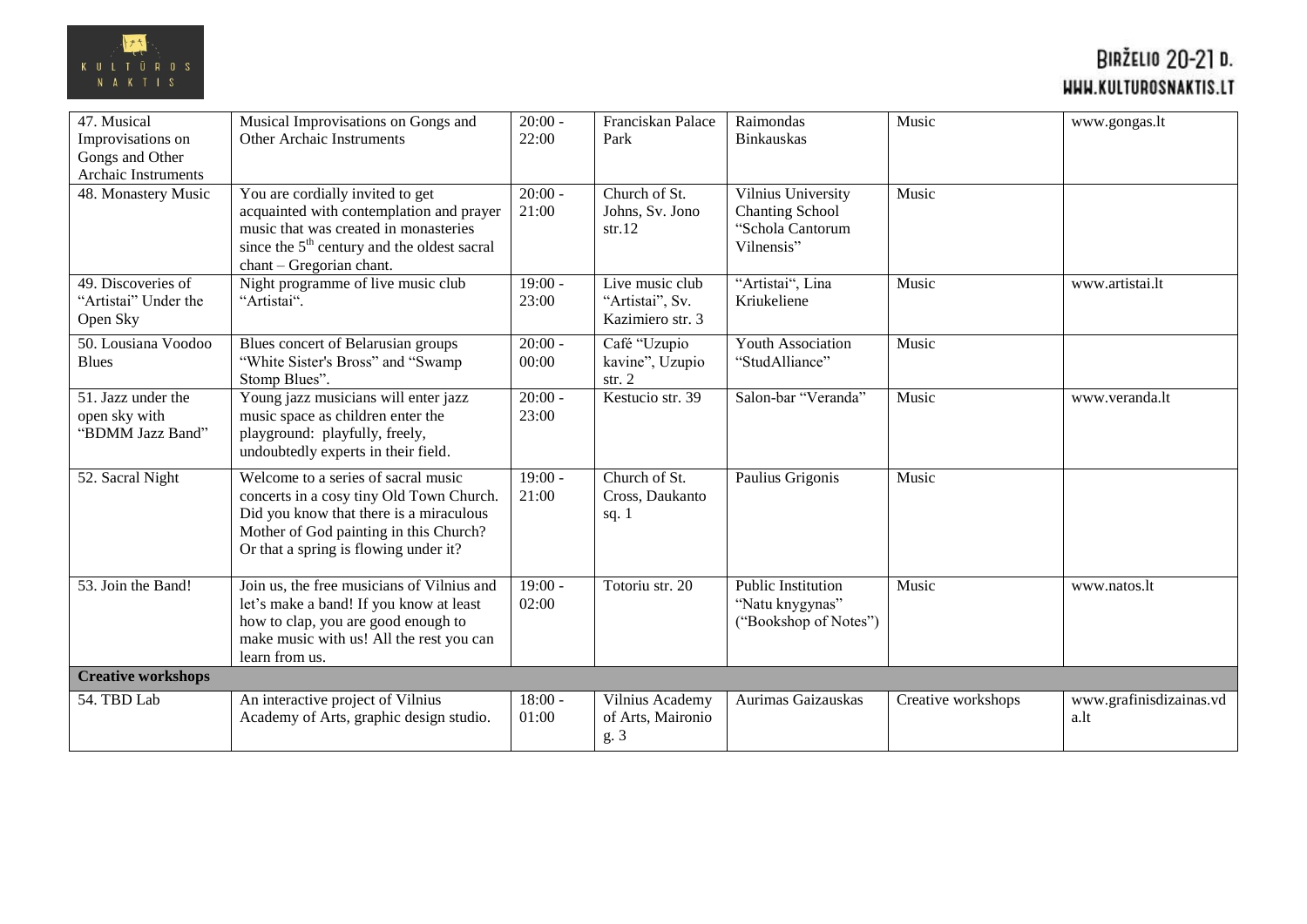

| 47. Musical<br>Improvisations on<br>Gongs and Other     | Musical Improvisations on Gongs and<br>Other Archaic Instruments                                                                                                                                              | $20:00 -$<br>22:00 | Franciskan Palace<br>Park                              | Raimondas<br><b>Binkauskas</b>                                                 | Music              | www.gongas.lt                   |
|---------------------------------------------------------|---------------------------------------------------------------------------------------------------------------------------------------------------------------------------------------------------------------|--------------------|--------------------------------------------------------|--------------------------------------------------------------------------------|--------------------|---------------------------------|
| Archaic Instruments                                     |                                                                                                                                                                                                               |                    |                                                        |                                                                                |                    |                                 |
| 48. Monastery Music                                     | You are cordially invited to get<br>acquainted with contemplation and prayer<br>music that was created in monasteries<br>since the 5 <sup>th</sup> century and the oldest sacral<br>chant - Gregorian chant.  | $20:00 -$<br>21:00 | Church of St.<br>Johns, Sv. Jono<br>str.12             | Vilnius University<br><b>Chanting School</b><br>"Schola Cantorum<br>Vilnensis" | Music              |                                 |
| 49. Discoveries of<br>"Artistai" Under the<br>Open Sky  | Night programme of live music club<br>"Artistai".                                                                                                                                                             | $19:00 -$<br>23:00 | Live music club<br>"Artistai", Sv.<br>Kazimiero str. 3 | "Artistai", Lina<br>Kriukeliene                                                | Music              | www.artistai.lt                 |
| 50. Lousiana Voodoo<br><b>Blues</b>                     | Blues concert of Belarusian groups<br>"White Sister's Bross" and "Swamp"<br>Stomp Blues".                                                                                                                     | $20:00 -$<br>00:00 | Café "Uzupio<br>kavine", Uzupio<br>str. $2$            | Youth Association<br>"StudAlliance"                                            | Music              |                                 |
| 51. Jazz under the<br>open sky with<br>"BDMM Jazz Band" | Young jazz musicians will enter jazz<br>music space as children enter the<br>playground: playfully, freely,<br>undoubtedly experts in their field.                                                            | $20:00 -$<br>23:00 | Kestucio str. 39                                       | Salon-bar "Veranda"                                                            | Music              | www.veranda.lt                  |
| 52. Sacral Night                                        | Welcome to a series of sacral music<br>concerts in a cosy tiny Old Town Church.<br>Did you know that there is a miraculous<br>Mother of God painting in this Church?<br>Or that a spring is flowing under it? | $19:00 -$<br>21:00 | Church of St.<br>Cross, Daukanto<br>sq. $1$            | Paulius Grigonis                                                               | Music              |                                 |
| 53. Join the Band!                                      | Join us, the free musicians of Vilnius and<br>let's make a band! If you know at least<br>how to clap, you are good enough to<br>make music with us! All the rest you can<br>learn from us.                    | $19:00 -$<br>02:00 | Totoriu str. 20                                        | Public Institution<br>"Natu knygynas"<br>("Bookshop of Notes")                 | Music              | www.natos.lt                    |
| <b>Creative workshops</b>                               |                                                                                                                                                                                                               |                    |                                                        |                                                                                |                    |                                 |
| 54. TBD Lab                                             | An interactive project of Vilnius<br>Academy of Arts, graphic design studio.                                                                                                                                  | $18:00 -$<br>01:00 | Vilnius Academy<br>of Arts, Maironio<br>g. 3           | Aurimas Gaizauskas                                                             | Creative workshops | www.grafinisdizainas.vd<br>a.lt |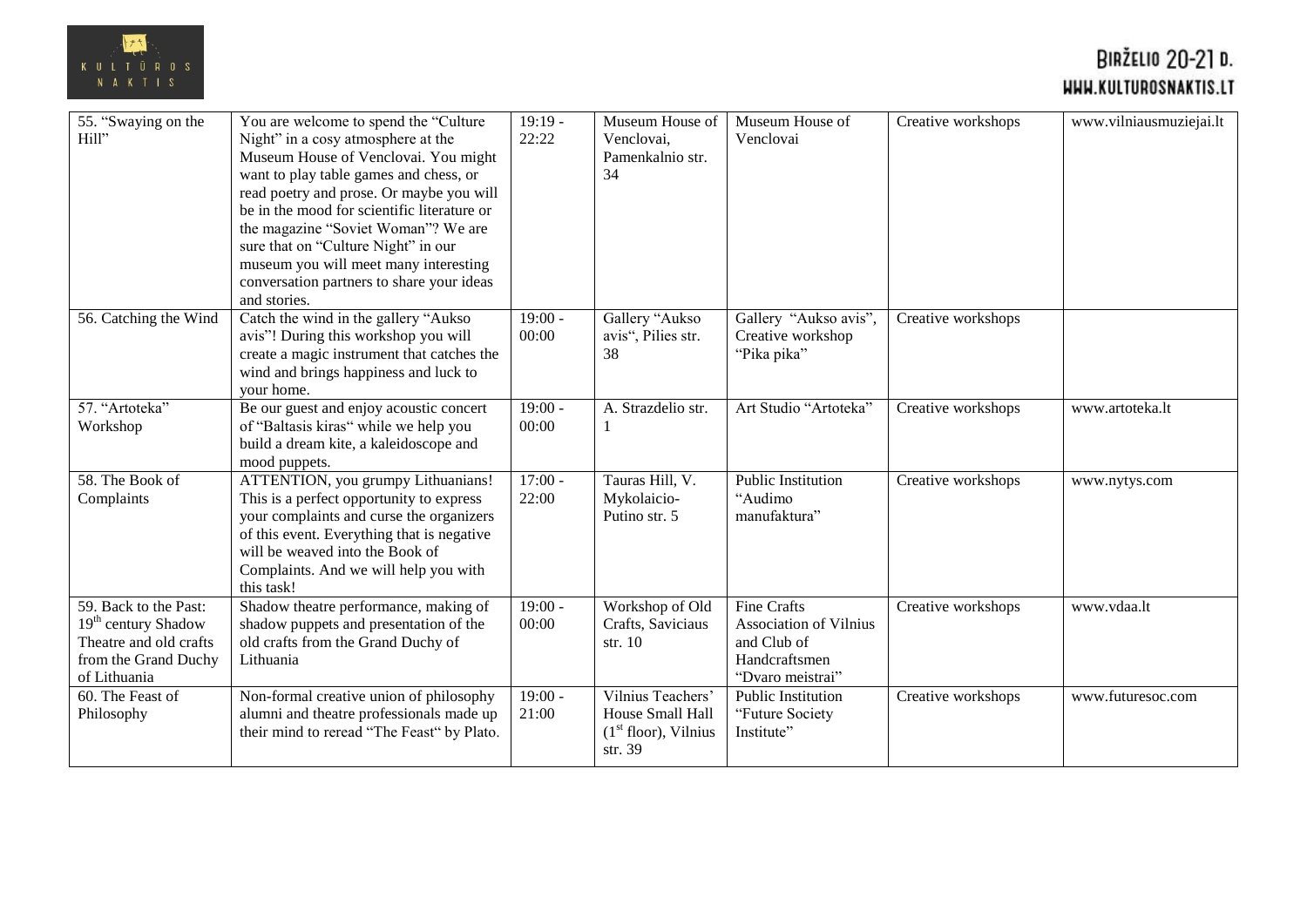

| 55. "Swaying on the<br>Hill"                                                                                               | You are welcome to spend the "Culture"<br>Night" in a cosy atmosphere at the<br>Museum House of Venclovai. You might<br>want to play table games and chess, or<br>read poetry and prose. Or maybe you will<br>be in the mood for scientific literature or<br>the magazine "Soviet Woman"? We are<br>sure that on "Culture Night" in our<br>museum you will meet many interesting<br>conversation partners to share your ideas<br>and stories. | $19:19 -$<br>22:22 | Museum House of<br>Venclovai,<br>Pamenkalnio str.<br>34                     | Museum House of<br>Venclovai                                                                     | Creative workshops | www.vilniausmuziejai.lt |
|----------------------------------------------------------------------------------------------------------------------------|-----------------------------------------------------------------------------------------------------------------------------------------------------------------------------------------------------------------------------------------------------------------------------------------------------------------------------------------------------------------------------------------------------------------------------------------------|--------------------|-----------------------------------------------------------------------------|--------------------------------------------------------------------------------------------------|--------------------|-------------------------|
| 56. Catching the Wind                                                                                                      | Catch the wind in the gallery "Aukso<br>avis"! During this workshop you will<br>create a magic instrument that catches the<br>wind and brings happiness and luck to<br>your home.                                                                                                                                                                                                                                                             | $19:00 -$<br>00:00 | Gallery "Aukso<br>avis", Pilies str.<br>38                                  | Gallery "Aukso avis",<br>Creative workshop<br>"Pika pika"                                        | Creative workshops |                         |
| 57. "Artoteka"<br>Workshop                                                                                                 | Be our guest and enjoy acoustic concert<br>of "Baltasis kiras" while we help you<br>build a dream kite, a kaleidoscope and<br>mood puppets.                                                                                                                                                                                                                                                                                                   | $19:00 -$<br>00:00 | A. Strazdelio str.<br>-1                                                    | Art Studio "Artoteka"                                                                            | Creative workshops | www.artoteka.lt         |
| 58. The Book of<br>Complaints                                                                                              | ATTENTION, you grumpy Lithuanians!<br>This is a perfect opportunity to express<br>your complaints and curse the organizers<br>of this event. Everything that is negative<br>will be weaved into the Book of<br>Complaints. And we will help you with<br>this task!                                                                                                                                                                            | $17:00 -$<br>22:00 | Tauras Hill, V.<br>Mykolaicio-<br>Putino str. 5                             | <b>Public Institution</b><br>"Audimo<br>manufaktura"                                             | Creative workshops | www.nytys.com           |
| 59. Back to the Past:<br>19 <sup>th</sup> century Shadow<br>Theatre and old crafts<br>from the Grand Duchy<br>of Lithuania | Shadow theatre performance, making of<br>shadow puppets and presentation of the<br>old crafts from the Grand Duchy of<br>Lithuania                                                                                                                                                                                                                                                                                                            | $19:00 -$<br>00:00 | Workshop of Old<br>Crafts, Saviciaus<br>str. 10                             | <b>Fine Crafts</b><br>Association of Vilnius<br>and Club of<br>Handcraftsmen<br>"Dvaro meistrai" | Creative workshops | www.vdaa.lt             |
| 60. The Feast of<br>Philosophy                                                                                             | Non-formal creative union of philosophy<br>alumni and theatre professionals made up<br>their mind to reread "The Feast" by Plato.                                                                                                                                                                                                                                                                                                             | $19:00 -$<br>21:00 | Vilnius Teachers'<br>House Small Hall<br>$(1st floor)$ , Vilnius<br>str. 39 | <b>Public Institution</b><br>"Future Society"<br>Institute"                                      | Creative workshops | www.futuresoc.com       |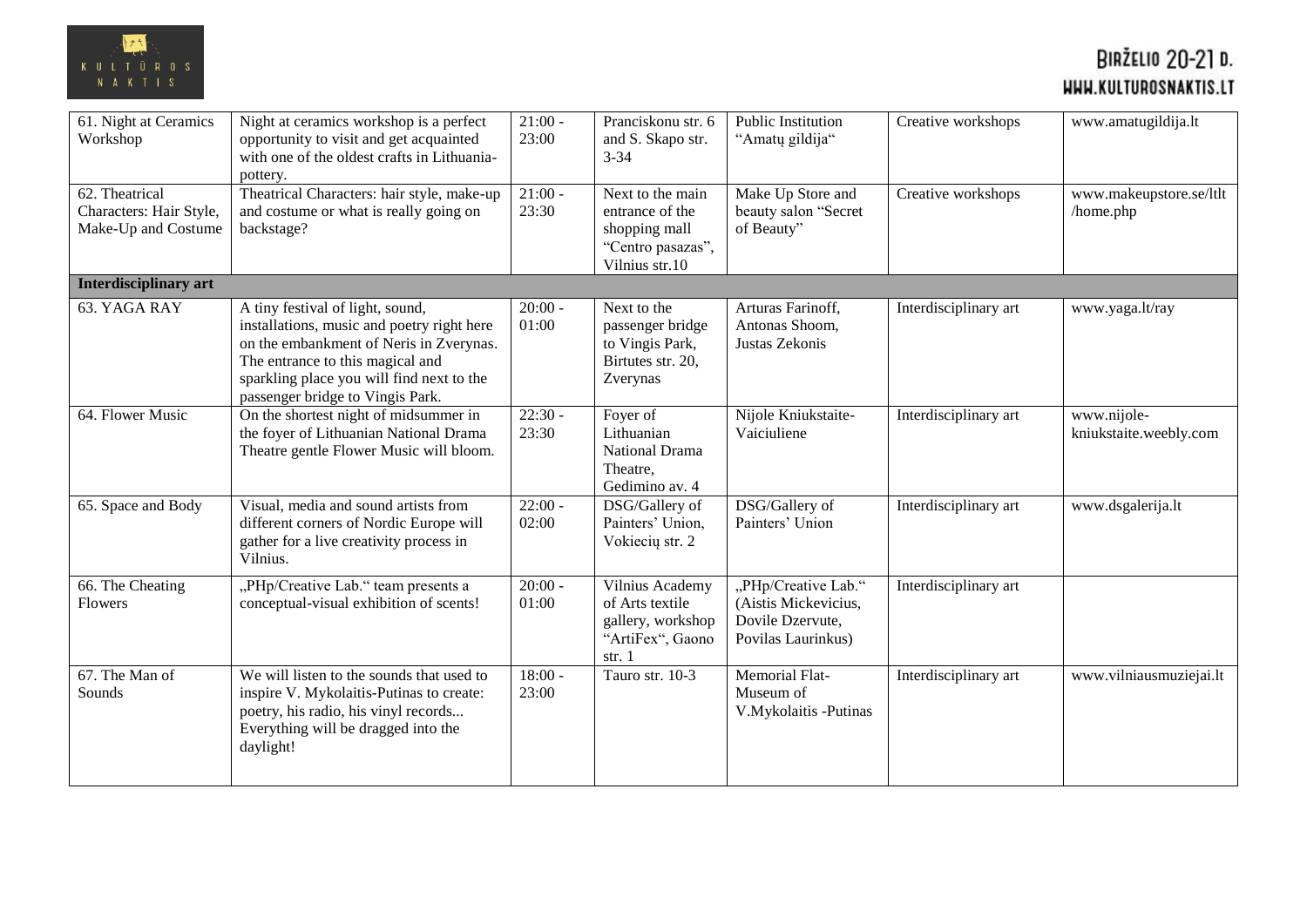

| 61. Night at Ceramics<br>Workshop                                | Night at ceramics workshop is a perfect<br>opportunity to visit and get acquainted<br>with one of the oldest crafts in Lithuania-<br>pottery.                                                                                                  | $21:00 -$<br>23:00 | Pranciskonu str. 6<br>and S. Skapo str.<br>$3 - 34$                                         | Public Institution<br>"Amatų gildija"                                                 | Creative workshops    | www.amatugildija.lt                   |
|------------------------------------------------------------------|------------------------------------------------------------------------------------------------------------------------------------------------------------------------------------------------------------------------------------------------|--------------------|---------------------------------------------------------------------------------------------|---------------------------------------------------------------------------------------|-----------------------|---------------------------------------|
| 62. Theatrical<br>Characters: Hair Style,<br>Make-Up and Costume | Theatrical Characters: hair style, make-up<br>and costume or what is really going on<br>backstage?                                                                                                                                             | $21:00 -$<br>23:30 | Next to the main<br>entrance of the<br>shopping mall<br>"Centro pasazas",<br>Vilnius str.10 | Make Up Store and<br>beauty salon "Secret<br>of Beauty"                               | Creative workshops    | www.makeupstore.se/ltlt<br>/home.php  |
| Interdisciplinary art                                            |                                                                                                                                                                                                                                                |                    |                                                                                             |                                                                                       |                       |                                       |
| 63. YAGA RAY                                                     | A tiny festival of light, sound,<br>installations, music and poetry right here<br>on the embankment of Neris in Zverynas.<br>The entrance to this magical and<br>sparkling place you will find next to the<br>passenger bridge to Vingis Park. | $20:00 -$<br>01:00 | Next to the<br>passenger bridge<br>to Vingis Park,<br>Birtutes str. 20,<br>Zverynas         | Arturas Farinoff,<br>Antonas Shoom,<br>Justas Zekonis                                 | Interdisciplinary art | www.yaga.lt/ray                       |
| 64. Flower Music                                                 | On the shortest night of midsummer in<br>the foyer of Lithuanian National Drama<br>Theatre gentle Flower Music will bloom.                                                                                                                     | $22:30 -$<br>23:30 | Foyer of<br>Lithuanian<br><b>National Drama</b><br>Theatre,<br>Gedimino av. 4               | Nijole Kniukstaite-<br>Vaiciuliene                                                    | Interdisciplinary art | www.nijole-<br>kniukstaite.weebly.com |
| 65. Space and Body                                               | Visual, media and sound artists from<br>different corners of Nordic Europe will<br>gather for a live creativity process in<br>Vilnius.                                                                                                         | $22:00 -$<br>02:00 | DSG/Gallery of<br>Painters' Union,<br>Vokiecių str. 2                                       | DSG/Gallery of<br>Painters' Union                                                     | Interdisciplinary art | www.dsgalerija.lt                     |
| 66. The Cheating<br><b>Flowers</b>                               | "PHp/Creative Lab." team presents a<br>conceptual-visual exhibition of scents!                                                                                                                                                                 | $20:00 -$<br>01:00 | Vilnius Academy<br>of Arts textile<br>gallery, workshop<br>"ArtiFex", Gaono<br>str. $1$     | "PHp/Creative Lab."<br>(Aistis Mickevicius,<br>Dovile Dzervute,<br>Povilas Laurinkus) | Interdisciplinary art |                                       |
| 67. The Man of<br>Sounds                                         | We will listen to the sounds that used to<br>inspire V. Mykolaitis-Putinas to create:<br>poetry, his radio, his vinyl records<br>Everything will be dragged into the<br>daylight!                                                              | $18:00 -$<br>23:00 | Tauro str. 10-3                                                                             | Memorial Flat-<br>Museum of<br>V.Mykolaitis -Putinas                                  | Interdisciplinary art | www.vilniausmuziejai.lt               |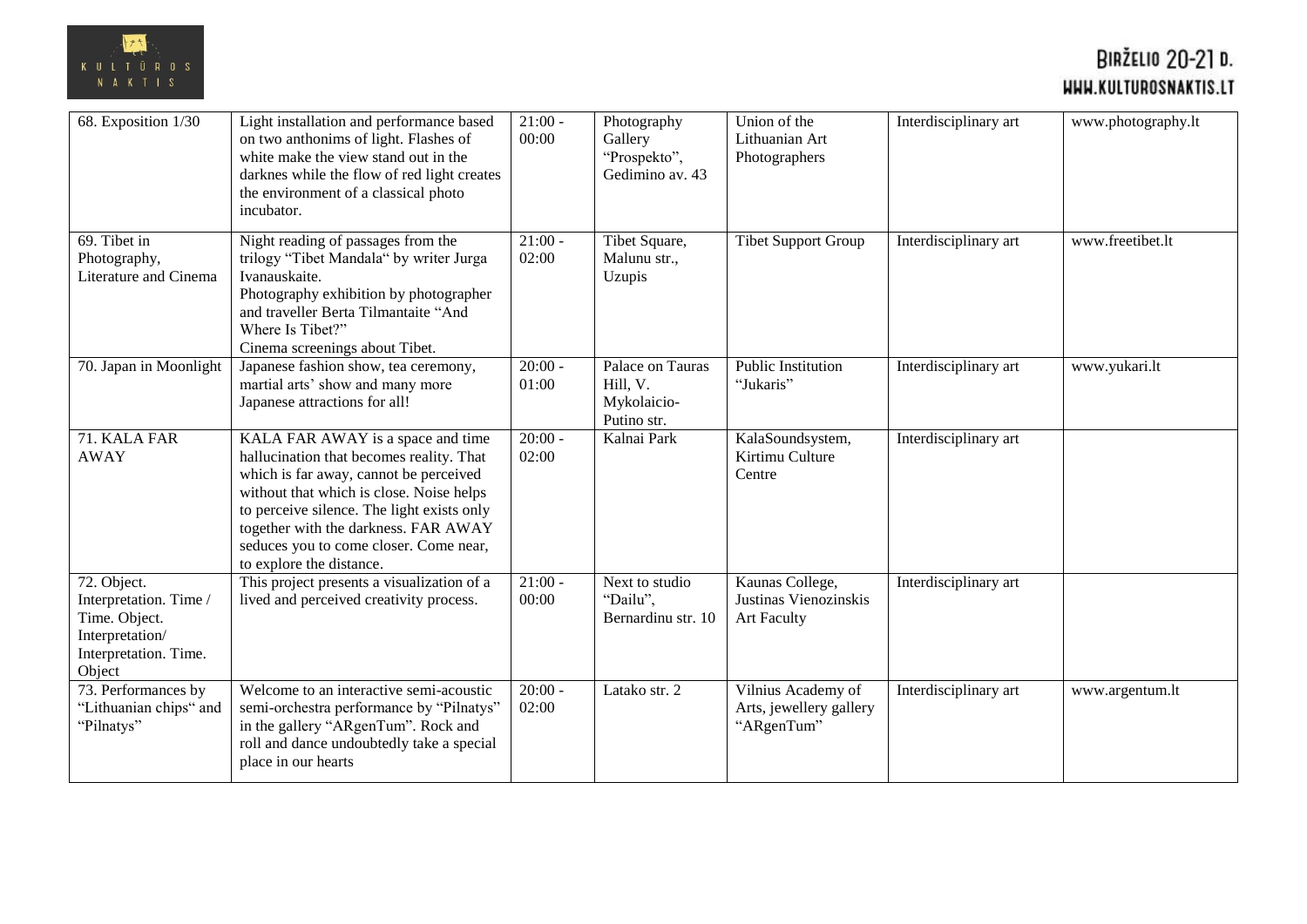

| 68. Exposition 1/30                                                                                          | Light installation and performance based<br>on two anthonims of light. Flashes of<br>white make the view stand out in the<br>darknes while the flow of red light creates<br>the environment of a classical photo<br>incubator.                                                                                                  | $21:00 -$<br>00:00 | Photography<br>Gallery<br>"Prospekto",<br>Gedimino av. 43  | Union of the<br>Lithuanian Art<br>Photographers                | Interdisciplinary art | www.photography.lt |
|--------------------------------------------------------------------------------------------------------------|---------------------------------------------------------------------------------------------------------------------------------------------------------------------------------------------------------------------------------------------------------------------------------------------------------------------------------|--------------------|------------------------------------------------------------|----------------------------------------------------------------|-----------------------|--------------------|
| 69. Tibet in<br>Photography,<br>Literature and Cinema                                                        | Night reading of passages from the<br>trilogy "Tibet Mandala" by writer Jurga<br>Ivanauskaite.<br>Photography exhibition by photographer<br>and traveller Berta Tilmantaite "And<br>Where Is Tibet?"<br>Cinema screenings about Tibet.                                                                                          | $21:00 -$<br>02:00 | Tibet Square,<br>Malunu str.,<br>Uzupis                    | <b>Tibet Support Group</b>                                     | Interdisciplinary art | www.freetibet.lt   |
| 70. Japan in Moonlight                                                                                       | Japanese fashion show, tea ceremony,<br>martial arts' show and many more<br>Japanese attractions for all!                                                                                                                                                                                                                       | $20:00 -$<br>01:00 | Palace on Tauras<br>Hill, V.<br>Mykolaicio-<br>Putino str. | Public Institution<br>"Jukaris"                                | Interdisciplinary art | www.yukari.lt      |
| 71. KALA FAR<br><b>AWAY</b>                                                                                  | KALA FAR AWAY is a space and time<br>hallucination that becomes reality. That<br>which is far away, cannot be perceived<br>without that which is close. Noise helps<br>to perceive silence. The light exists only<br>together with the darkness. FAR AWAY<br>seduces you to come closer. Come near,<br>to explore the distance. | $20:00 -$<br>02:00 | Kalnai Park                                                | KalaSoundsystem,<br>Kirtimu Culture<br>Centre                  | Interdisciplinary art |                    |
| 72. Object.<br>Interpretation. Time /<br>Time. Object.<br>Interpretation/<br>Interpretation. Time.<br>Object | This project presents a visualization of a<br>lived and perceived creativity process.                                                                                                                                                                                                                                           | $21:00 -$<br>00:00 | Next to studio<br>"Dailu".<br>Bernardinu str. 10           | Kaunas College,<br>Justinas Vienozinskis<br><b>Art Faculty</b> | Interdisciplinary art |                    |
| 73. Performances by<br>"Lithuanian chips" and<br>"Pilnatys"                                                  | Welcome to an interactive semi-acoustic<br>semi-orchestra performance by "Pilnatys"<br>in the gallery "ARgenTum". Rock and<br>roll and dance undoubtedly take a special<br>place in our hearts                                                                                                                                  | $20:00 -$<br>02:00 | Latako str. 2                                              | Vilnius Academy of<br>Arts, jewellery gallery<br>"ARgenTum"    | Interdisciplinary art | www.argentum.lt    |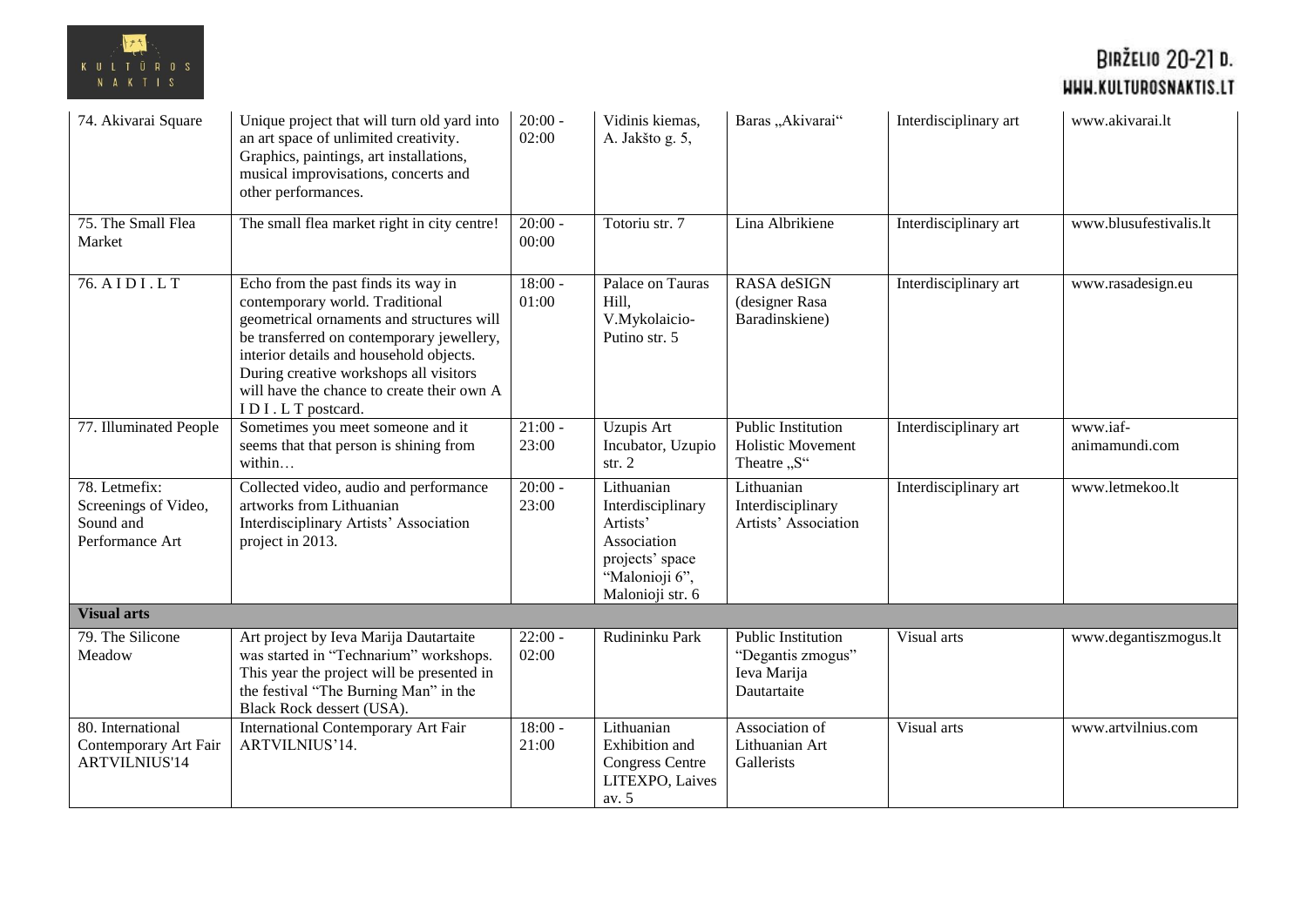

| 74. Akivarai Square                                                   | Unique project that will turn old yard into<br>an art space of unlimited creativity.<br>Graphics, paintings, art installations,<br>musical improvisations, concerts and<br>other performances.                                                                                                                          | $20:00 -$<br>02:00 | Vidinis kiemas,<br>A. Jakšto g. 5,                                                                                  | Baras "Akivarai"                                                      | Interdisciplinary art | www.akivarai.lt            |
|-----------------------------------------------------------------------|-------------------------------------------------------------------------------------------------------------------------------------------------------------------------------------------------------------------------------------------------------------------------------------------------------------------------|--------------------|---------------------------------------------------------------------------------------------------------------------|-----------------------------------------------------------------------|-----------------------|----------------------------|
| 75. The Small Flea<br>Market                                          | The small flea market right in city centre!                                                                                                                                                                                                                                                                             | $20:00 -$<br>00:00 | Totoriu str. 7                                                                                                      | Lina Albrikiene                                                       | Interdisciplinary art | www.blusufestivalis.lt     |
| 76. AIDI.LT                                                           | Echo from the past finds its way in<br>contemporary world. Traditional<br>geometrical ornaments and structures will<br>be transferred on contemporary jewellery,<br>interior details and household objects.<br>During creative workshops all visitors<br>will have the chance to create their own A<br>IDI.LT postcard. | $18:00 -$<br>01:00 | Palace on Tauras<br>Hill,<br>V.Mykolaicio-<br>Putino str. 5                                                         | RASA deSIGN<br>(designer Rasa<br>Baradinskiene)                       | Interdisciplinary art | www.rasadesign.eu          |
| 77. Illuminated People                                                | Sometimes you meet someone and it<br>seems that that person is shining from<br>within                                                                                                                                                                                                                                   | $21:00 -$<br>23:00 | <b>Uzupis Art</b><br>Incubator, Uzupio<br>str. 2                                                                    | <b>Public Institution</b><br><b>Holistic Movement</b><br>Theatre "S"  | Interdisciplinary art | www.iaf-<br>animamundi.com |
| 78. Letmefix:<br>Screenings of Video,<br>Sound and<br>Performance Art | Collected video, audio and performance<br>artworks from Lithuanian<br>Interdisciplinary Artists' Association<br>project in 2013.                                                                                                                                                                                        | $20:00 -$<br>23:00 | Lithuanian<br>Interdisciplinary<br>Artists'<br>Association<br>projects' space<br>"Malonioji 6",<br>Malonioji str. 6 | Lithuanian<br>Interdisciplinary<br>Artists' Association               | Interdisciplinary art | www.letmekoo.lt            |
| <b>Visual arts</b>                                                    |                                                                                                                                                                                                                                                                                                                         |                    |                                                                                                                     |                                                                       |                       |                            |
| 79. The Silicone<br>Meadow                                            | Art project by Ieva Marija Dautartaite<br>was started in "Technarium" workshops.<br>This year the project will be presented in<br>the festival "The Burning Man" in the<br>Black Rock dessert (USA).                                                                                                                    | $22:00 -$<br>02:00 | Rudininku Park                                                                                                      | Public Institution<br>"Degantis zmogus"<br>Ieva Marija<br>Dautartaite | Visual arts           | www.degantiszmogus.lt      |
| 80. International<br>Contemporary Art Fair<br><b>ARTVILNIUS'14</b>    | <b>International Contemporary Art Fair</b><br>ARTVILNIUS'14.                                                                                                                                                                                                                                                            | $18:00 -$<br>21:00 | Lithuanian<br><b>Exhibition</b> and<br><b>Congress Centre</b><br>LITEXPO, Laives<br>av. 5                           | Association of<br>Lithuanian Art<br>Gallerists                        | Visual arts           | www.artvilnius.com         |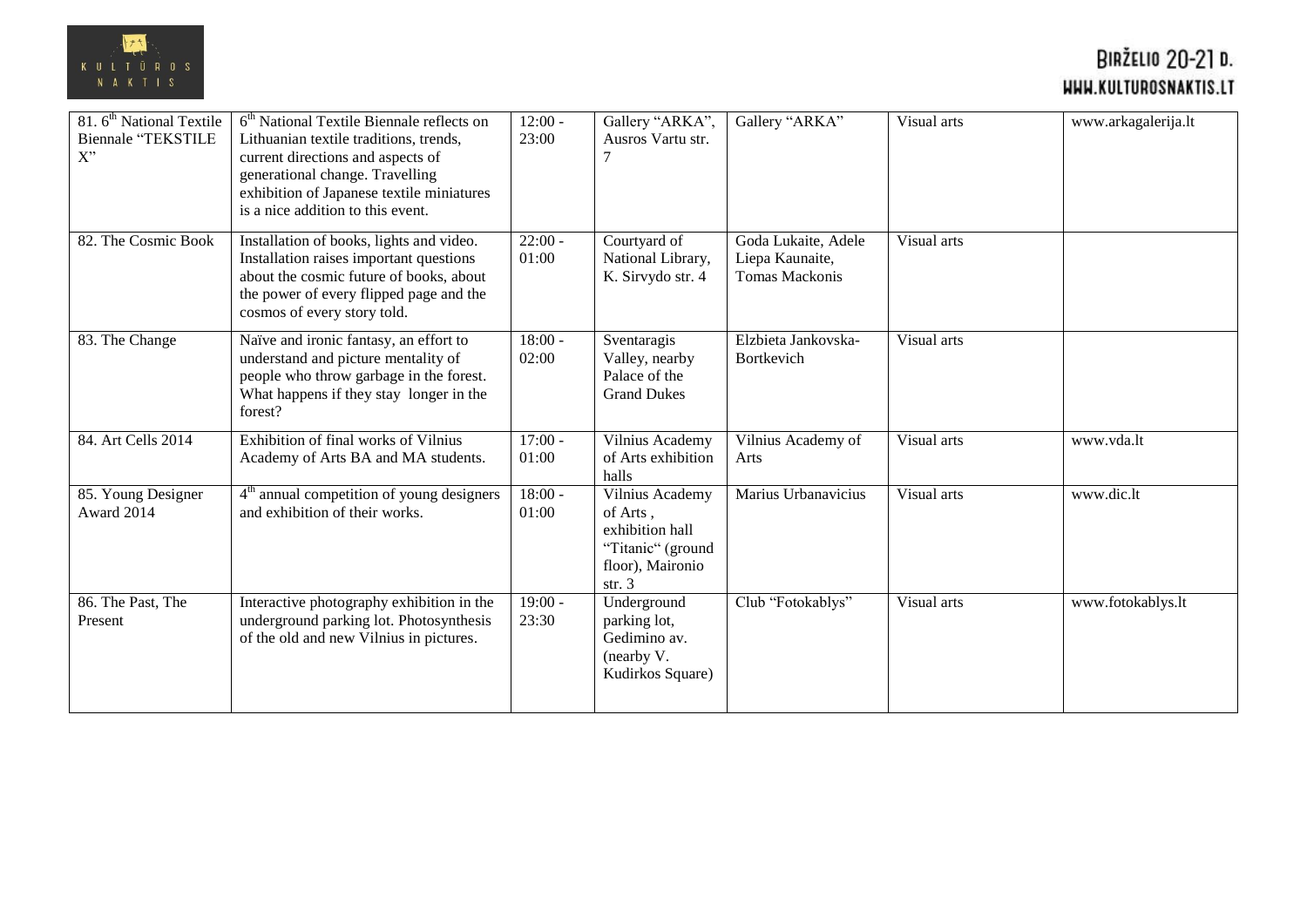

| 81. 6 <sup>th</sup> National Textile<br><b>Biennale "TEKSTILE</b><br>$X^{"}$ | $6th National Textile Biennale reflects on$<br>Lithuanian textile traditions, trends,<br>current directions and aspects of<br>generational change. Travelling<br>exhibition of Japanese textile miniatures<br>is a nice addition to this event. | $12:00 -$<br>23:00 | Gallery "ARKA",<br>Ausros Vartu str.                                                                | Gallery "ARKA"                                           | Visual arts | www.arkagalerija.lt |
|------------------------------------------------------------------------------|-------------------------------------------------------------------------------------------------------------------------------------------------------------------------------------------------------------------------------------------------|--------------------|-----------------------------------------------------------------------------------------------------|----------------------------------------------------------|-------------|---------------------|
| 82. The Cosmic Book                                                          | Installation of books, lights and video.<br>Installation raises important questions<br>about the cosmic future of books, about<br>the power of every flipped page and the<br>cosmos of every story told.                                        | $22:00 -$<br>01:00 | Courtyard of<br>National Library,<br>K. Sirvydo str. 4                                              | Goda Lukaite, Adele<br>Liepa Kaunaite,<br>Tomas Mackonis | Visual arts |                     |
| 83. The Change                                                               | Naïve and ironic fantasy, an effort to<br>understand and picture mentality of<br>people who throw garbage in the forest.<br>What happens if they stay longer in the<br>forest?                                                                  | $18:00 -$<br>02:00 | Sventaragis<br>Valley, nearby<br>Palace of the<br><b>Grand Dukes</b>                                | Elzbieta Jankovska-<br>Bortkevich                        | Visual arts |                     |
| 84. Art Cells 2014                                                           | Exhibition of final works of Vilnius<br>Academy of Arts BA and MA students.                                                                                                                                                                     | $17:00 -$<br>01:00 | Vilnius Academy<br>of Arts exhibition<br>halls                                                      | Vilnius Academy of<br>Arts                               | Visual arts | www.vda.lt          |
| 85. Young Designer<br>Award 2014                                             | 4 <sup>th</sup> annual competition of young designers<br>and exhibition of their works.                                                                                                                                                         | $18:00 -$<br>01:00 | Vilnius Academy<br>of Arts,<br>exhibition hall<br>"Titanic" (ground<br>floor), Maironio<br>str. $3$ | Marius Urbanavicius                                      | Visual arts | www.dic.lt          |
| 86. The Past, The<br>Present                                                 | Interactive photography exhibition in the<br>underground parking lot. Photosynthesis<br>of the old and new Vilnius in pictures.                                                                                                                 | $19:00 -$<br>23:30 | Underground<br>parking lot,<br>Gedimino av.<br>(nearby V.<br>Kudirkos Square)                       | Club "Fotokablys"                                        | Visual arts | www.fotokablys.lt   |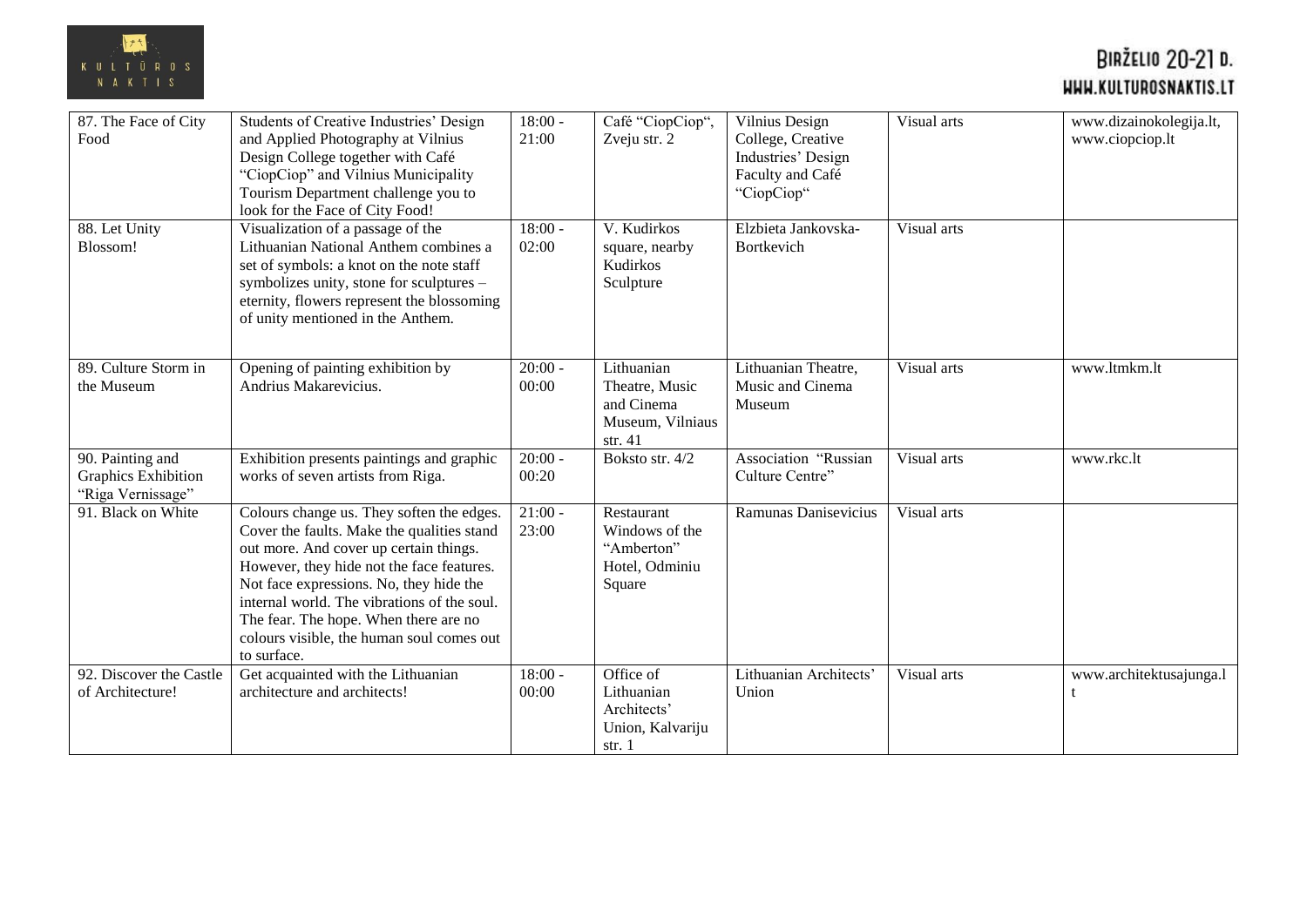

| 87. The Face of City<br>Food                                 | Students of Creative Industries' Design<br>and Applied Photography at Vilnius<br>Design College together with Café<br>"CiopCiop" and Vilnius Municipality<br>Tourism Department challenge you to<br>look for the Face of City Food!                                                                                                                                           | $18:00 -$<br>21:00 | Café "CiopCiop",<br>Zveju str. 2                                            | Vilnius Design<br>College, Creative<br>Industries' Design<br>Faculty and Café<br>"CiopCiop" | Visual arts | www.dizainokolegija.lt,<br>www.ciopciop.lt |
|--------------------------------------------------------------|-------------------------------------------------------------------------------------------------------------------------------------------------------------------------------------------------------------------------------------------------------------------------------------------------------------------------------------------------------------------------------|--------------------|-----------------------------------------------------------------------------|---------------------------------------------------------------------------------------------|-------------|--------------------------------------------|
| 88. Let Unity<br>Blossom!                                    | Visualization of a passage of the<br>Lithuanian National Anthem combines a<br>set of symbols: a knot on the note staff<br>symbolizes unity, stone for sculptures -<br>eternity, flowers represent the blossoming<br>of unity mentioned in the Anthem.                                                                                                                         | $18:00 -$<br>02:00 | V. Kudirkos<br>square, nearby<br>Kudirkos<br>Sculpture                      | Elzbieta Jankovska-<br>Bortkevich                                                           | Visual arts |                                            |
| 89. Culture Storm in<br>the Museum                           | Opening of painting exhibition by<br>Andrius Makarevicius.                                                                                                                                                                                                                                                                                                                    | $20:00 -$<br>00:00 | Lithuanian<br>Theatre, Music<br>and Cinema<br>Museum, Vilniaus<br>str. $41$ | Lithuanian Theatre,<br>Music and Cinema<br>Museum                                           | Visual arts | www.ltmkm.lt                               |
| 90. Painting and<br>Graphics Exhibition<br>"Riga Vernissage" | Exhibition presents paintings and graphic<br>works of seven artists from Riga.                                                                                                                                                                                                                                                                                                | $20:00 -$<br>00:20 | Boksto str. 4/2                                                             | Association "Russian<br>Culture Centre"                                                     | Visual arts | www.rkc.lt                                 |
| 91. Black on White                                           | Colours change us. They soften the edges.<br>Cover the faults. Make the qualities stand<br>out more. And cover up certain things.<br>However, they hide not the face features.<br>Not face expressions. No, they hide the<br>internal world. The vibrations of the soul.<br>The fear. The hope. When there are no<br>colours visible, the human soul comes out<br>to surface. | $21:00 -$<br>23:00 | Restaurant<br>Windows of the<br>"Amberton"<br>Hotel, Odminiu<br>Square      | Ramunas Danisevicius                                                                        | Visual arts |                                            |
| 92. Discover the Castle<br>of Architecture!                  | Get acquainted with the Lithuanian<br>architecture and architects!                                                                                                                                                                                                                                                                                                            | $18:00 -$<br>00:00 | Office of<br>Lithuanian<br>Architects'<br>Union, Kalvariju<br>str.1         | Lithuanian Architects'<br>Union                                                             | Visual arts | www.architektusajunga.l                    |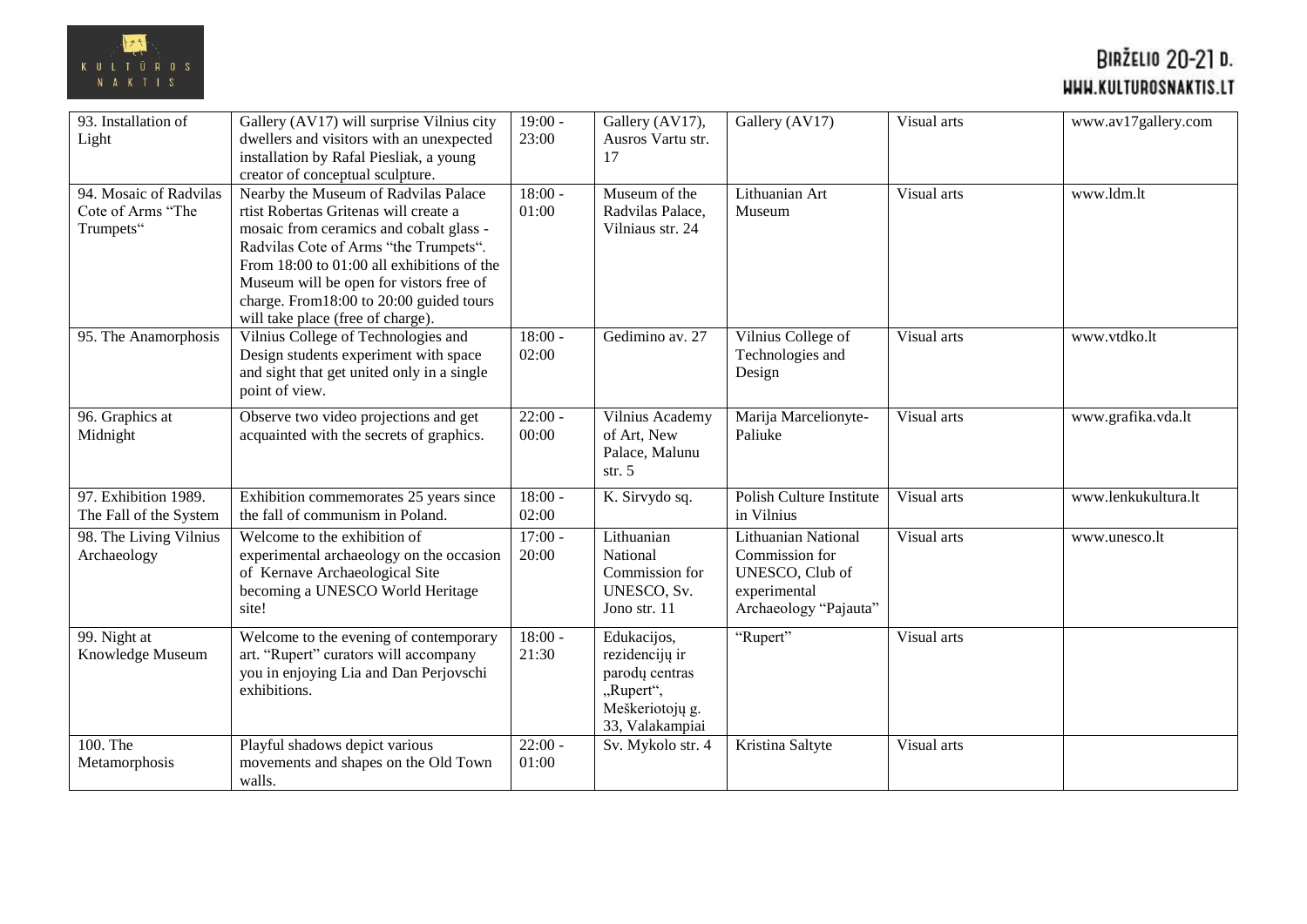

| 93. Installation of<br>Light                             | Gallery (AV17) will surprise Vilnius city<br>dwellers and visitors with an unexpected<br>installation by Rafal Piesliak, a young<br>creator of conceptual sculpture.                                                                                                                                                                        | $19:00 -$<br>23:00 | Gallery (AV17),<br>Ausros Vartu str.<br>17                                                         | Gallery (AV17)                                                                                    | Visual arts | www.av17gallery.com |
|----------------------------------------------------------|---------------------------------------------------------------------------------------------------------------------------------------------------------------------------------------------------------------------------------------------------------------------------------------------------------------------------------------------|--------------------|----------------------------------------------------------------------------------------------------|---------------------------------------------------------------------------------------------------|-------------|---------------------|
| 94. Mosaic of Radvilas<br>Cote of Arms "The<br>Trumpets" | Nearby the Museum of Radvilas Palace<br>rtist Robertas Gritenas will create a<br>mosaic from ceramics and cobalt glass -<br>Radvilas Cote of Arms "the Trumpets".<br>From 18:00 to 01:00 all exhibitions of the<br>Museum will be open for vistors free of<br>charge. From 18:00 to 20:00 guided tours<br>will take place (free of charge). | $18:00 -$<br>01:00 | Museum of the<br>Radvilas Palace,<br>Vilniaus str. 24                                              | Lithuanian Art<br>Museum                                                                          | Visual arts | www.ldm.lt          |
| 95. The Anamorphosis                                     | Vilnius College of Technologies and<br>Design students experiment with space<br>and sight that get united only in a single<br>point of view.                                                                                                                                                                                                | $18:00 -$<br>02:00 | Gedimino av. 27                                                                                    | Vilnius College of<br>Technologies and<br>Design                                                  | Visual arts | www.vtdko.lt        |
| 96. Graphics at<br>Midnight                              | Observe two video projections and get<br>acquainted with the secrets of graphics.                                                                                                                                                                                                                                                           | $22:00 -$<br>00:00 | Vilnius Academy<br>of Art, New<br>Palace, Malunu<br>str. $5$                                       | Marija Marcelionyte-<br>Paliuke                                                                   | Visual arts | www.grafika.vda.lt  |
| 97. Exhibition 1989.<br>The Fall of the System           | Exhibition commemorates 25 years since<br>the fall of communism in Poland.                                                                                                                                                                                                                                                                  | $18:00 -$<br>02:00 | K. Sirvydo sq.                                                                                     | Polish Culture Institute<br>in Vilnius                                                            | Visual arts | www.lenkukultura.lt |
| 98. The Living Vilnius<br>Archaeology                    | Welcome to the exhibition of<br>experimental archaeology on the occasion<br>of Kernave Archaeological Site<br>becoming a UNESCO World Heritage<br>site!                                                                                                                                                                                     | $17:00 -$<br>20:00 | Lithuanian<br>National<br>Commission for<br>UNESCO, Sv.<br>Jono str. 11                            | Lithuanian National<br>Commission for<br>UNESCO, Club of<br>experimental<br>Archaeology "Pajauta" | Visual arts | www.unesco.lt       |
| 99. Night at<br>Knowledge Museum                         | Welcome to the evening of contemporary<br>art. "Rupert" curators will accompany<br>you in enjoying Lia and Dan Perjovschi<br>exhibitions.                                                                                                                                                                                                   | $18:00 -$<br>21:30 | Edukacijos,<br>rezidencijų ir<br>parodų centras<br>"Rupert",<br>Meškeriotojų g.<br>33, Valakampiai | "Rupert"                                                                                          | Visual arts |                     |
| 100. The<br>Metamorphosis                                | Playful shadows depict various<br>movements and shapes on the Old Town<br>walls.                                                                                                                                                                                                                                                            | $22:00 -$<br>01:00 | Sv. Mykolo str. 4                                                                                  | Kristina Saltyte                                                                                  | Visual arts |                     |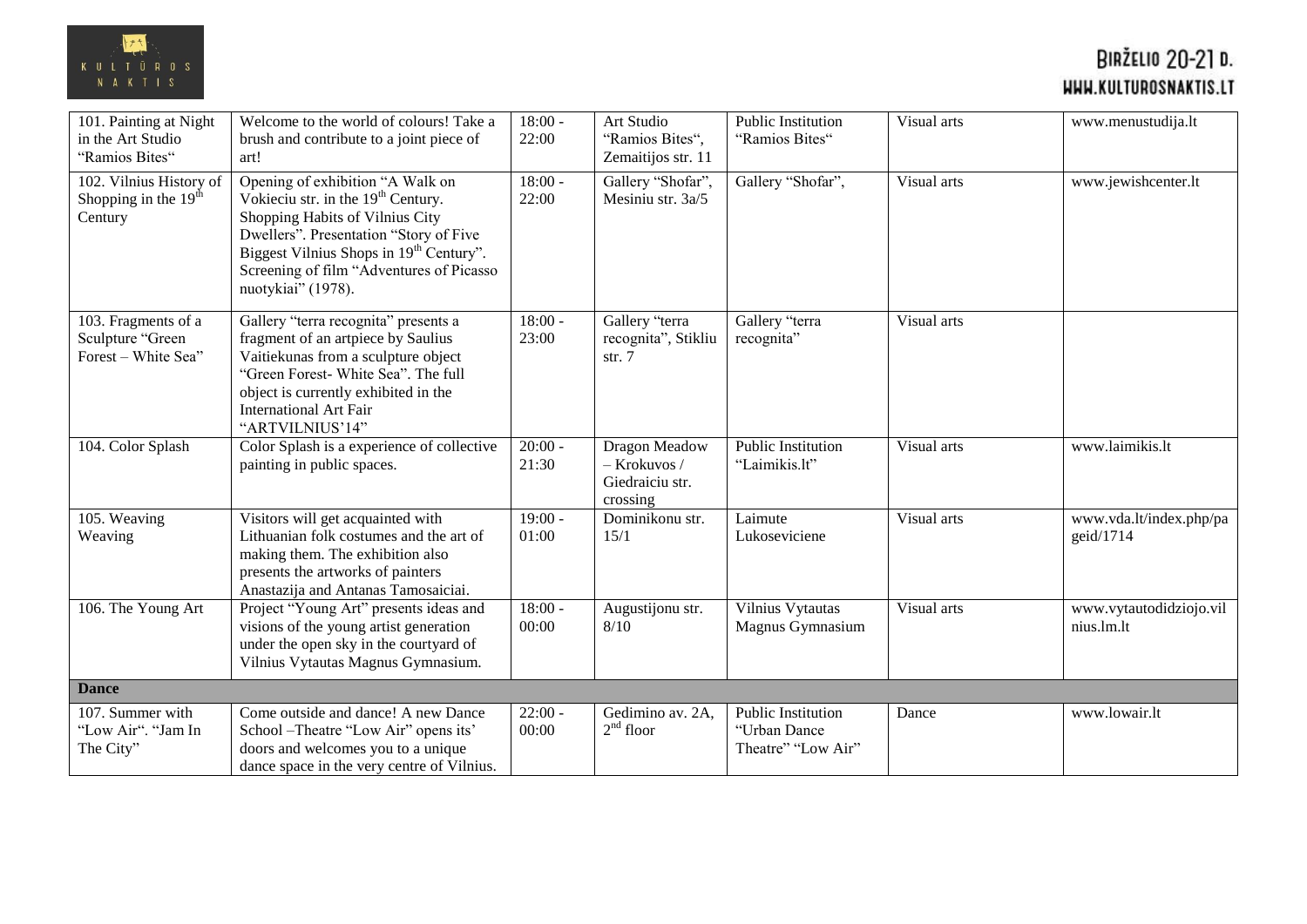

| 101. Painting at Night<br>in the Art Studio<br>"Ramios Bites"  | Welcome to the world of colours! Take a<br>brush and contribute to a joint piece of<br>art!                                                                                                                                                                                              | $18:00 -$<br>22:00 | Art Studio<br>"Ramios Bites",<br>Zemaitijos str. 11                   | Public Institution<br>"Ramios Bites"                            | Visual arts | www.menustudija.lt                    |
|----------------------------------------------------------------|------------------------------------------------------------------------------------------------------------------------------------------------------------------------------------------------------------------------------------------------------------------------------------------|--------------------|-----------------------------------------------------------------------|-----------------------------------------------------------------|-------------|---------------------------------------|
| 102. Vilnius History of<br>Shopping in the $19th$<br>Century   | Opening of exhibition "A Walk on<br>Vokieciu str. in the 19 <sup>th</sup> Century.<br>Shopping Habits of Vilnius City<br>Dwellers". Presentation "Story of Five<br>Biggest Vilnius Shops in 19 <sup>th</sup> Century".<br>Screening of film "Adventures of Picasso<br>nuotykiai" (1978). | $18:00 -$<br>22:00 | Gallery "Shofar",<br>Mesiniu str. 3a/5                                | Gallery "Shofar",                                               | Visual arts | www.jewishcenter.lt                   |
| 103. Fragments of a<br>Sculpture "Green<br>Forest - White Sea" | Gallery "terra recognita" presents a<br>fragment of an artpiece by Saulius<br>Vaitiekunas from a sculpture object<br>"Green Forest- White Sea". The full<br>object is currently exhibited in the<br><b>International Art Fair</b><br>"ARTVILNIUS'14"                                     | $18:00 -$<br>23:00 | Gallery "terra<br>recognita", Stikliu<br>str. $7$                     | Gallery "terra<br>recognita"                                    | Visual arts |                                       |
| 104. Color Splash                                              | Color Splash is a experience of collective<br>painting in public spaces.                                                                                                                                                                                                                 | $20:00 -$<br>21:30 | <b>Dragon Meadow</b><br>$-$ Krokuvos /<br>Giedraiciu str.<br>crossing | Public Institution<br>"Laimikis.lt"                             | Visual arts | www.laimikis.lt                       |
| 105. Weaving<br>Weaving                                        | Visitors will get acquainted with<br>Lithuanian folk costumes and the art of<br>making them. The exhibition also<br>presents the artworks of painters<br>Anastazija and Antanas Tamosaiciai.                                                                                             | $19:00 -$<br>01:00 | Dominikonu str.<br>15/1                                               | Laimute<br>Lukoseviciene                                        | Visual arts | www.vda.lt/index.php/pa<br>geid/1714  |
| 106. The Young Art                                             | Project "Young Art" presents ideas and<br>visions of the young artist generation<br>under the open sky in the courtyard of<br>Vilnius Vytautas Magnus Gymnasium.                                                                                                                         | $18:00 -$<br>00:00 | Augustijonu str.<br>8/10                                              | Vilnius Vytautas<br>Magnus Gymnasium                            | Visual arts | www.vytautodidziojo.vil<br>nius.lm.lt |
| <b>Dance</b>                                                   |                                                                                                                                                                                                                                                                                          |                    |                                                                       |                                                                 |             |                                       |
| 107. Summer with<br>"Low Air". "Jam In<br>The City"            | Come outside and dance! A new Dance<br>School - Theatre "Low Air" opens its'<br>doors and welcomes you to a unique<br>dance space in the very centre of Vilnius.                                                                                                                         | $22:00 -$<br>00:00 | Gedimino av. 2A,<br>$2nd$ floor                                       | <b>Public Institution</b><br>"Urban Dance<br>Theatre" "Low Air" | Dance       | www.lowair.lt                         |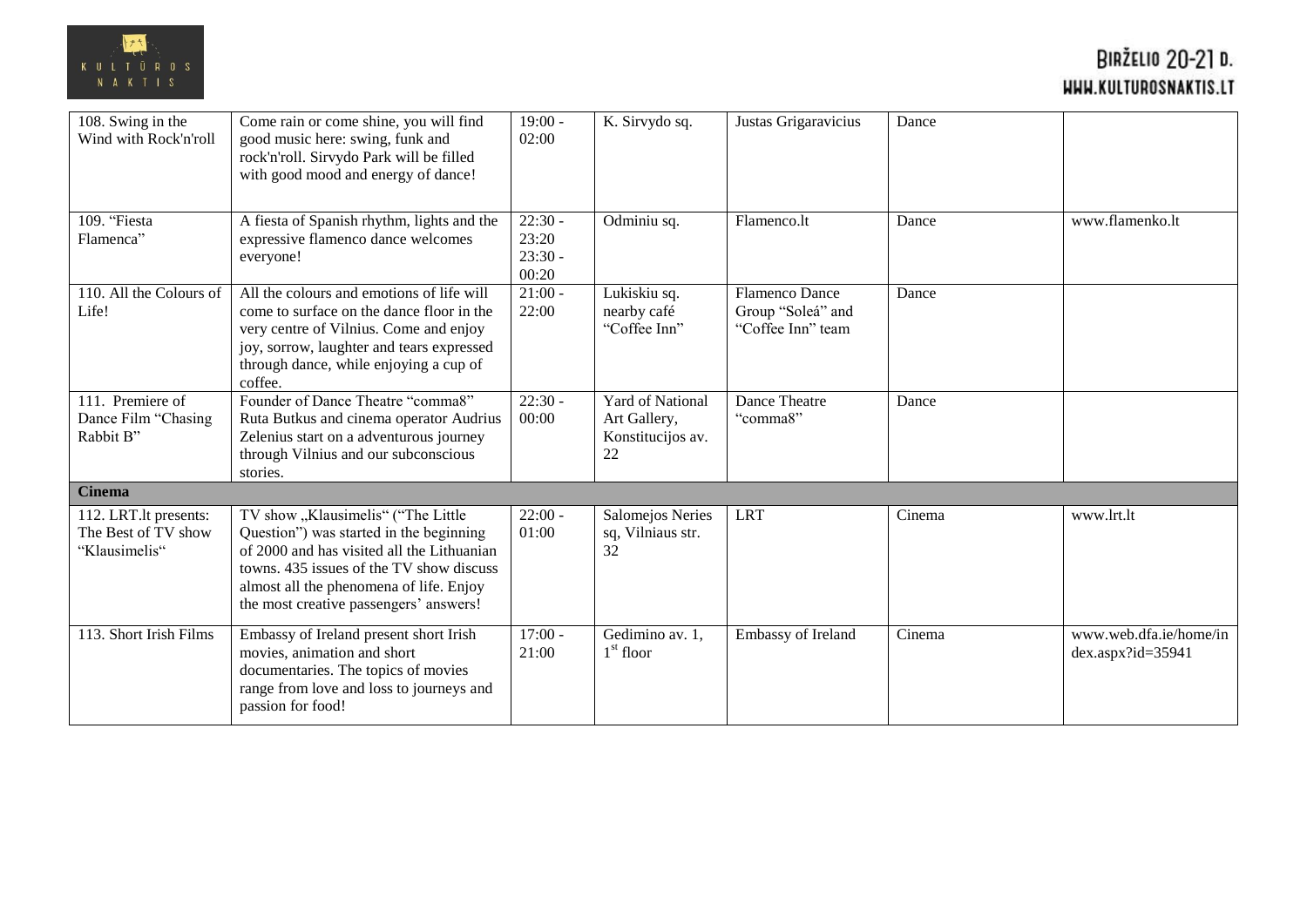

| 108. Swing in the<br>Wind with Rock'n'roll                    | Come rain or come shine, you will find<br>good music here: swing, funk and<br>rock'n'roll. Sirvydo Park will be filled<br>with good mood and energy of dance!                                                                                                | $19:00 -$<br>02:00                       | K. Sirvydo sq.                                                     | Justas Grigaravicius                                            | Dance  |                                                |
|---------------------------------------------------------------|--------------------------------------------------------------------------------------------------------------------------------------------------------------------------------------------------------------------------------------------------------------|------------------------------------------|--------------------------------------------------------------------|-----------------------------------------------------------------|--------|------------------------------------------------|
| 109. "Fiesta<br>Flamenca"                                     | A fiesta of Spanish rhythm, lights and the<br>expressive flamenco dance welcomes<br>everyone!                                                                                                                                                                | $22:30 -$<br>23:20<br>$23:30 -$<br>00:20 | Odminiu sq.                                                        | Flamenco.lt                                                     | Dance  | www.flamenko.lt                                |
| 110. All the Colours of<br>Life!                              | All the colours and emotions of life will<br>come to surface on the dance floor in the<br>very centre of Vilnius. Come and enjoy<br>joy, sorrow, laughter and tears expressed<br>through dance, while enjoying a cup of<br>coffee.                           | $21:00 -$<br>22:00                       | Lukiskiu sq.<br>nearby café<br>"Coffee Inn"                        | <b>Flamenco Dance</b><br>Group "Soleá" and<br>"Coffee Inn" team | Dance  |                                                |
| 111. Premiere of<br>Dance Film "Chasing<br>Rabbit B"          | Founder of Dance Theatre "comma8"<br>Ruta Butkus and cinema operator Audrius<br>Zelenius start on a adventurous journey<br>through Vilnius and our subconscious<br>stories.                                                                                  | $22:30 -$<br>00:00                       | <b>Yard of National</b><br>Art Gallery,<br>Konstitucijos av.<br>22 | Dance Theatre<br>"comma8"                                       | Dance  |                                                |
| <b>Cinema</b>                                                 |                                                                                                                                                                                                                                                              |                                          |                                                                    |                                                                 |        |                                                |
| 112. LRT.lt presents:<br>The Best of TV show<br>"Klausimelis" | TV show "Klausimelis" ("The Little<br>Question") was started in the beginning<br>of 2000 and has visited all the Lithuanian<br>towns. 435 issues of the TV show discuss<br>almost all the phenomena of life. Enjoy<br>the most creative passengers' answers! | $22:00 -$<br>01:00                       | Salomejos Neries<br>sq, Vilniaus str.<br>32                        | <b>LRT</b>                                                      | Cinema | www.lrt.lt                                     |
| 113. Short Irish Films                                        | Embassy of Ireland present short Irish<br>movies, animation and short<br>documentaries. The topics of movies<br>range from love and loss to journeys and<br>passion for food!                                                                                | $17:00 -$<br>21:00                       | Gedimino av. 1,<br>$1st$ floor                                     | Embassy of Ireland                                              | Cinema | www.web.dfa.ie/home/in<br>$dex.$ aspx?id=35941 |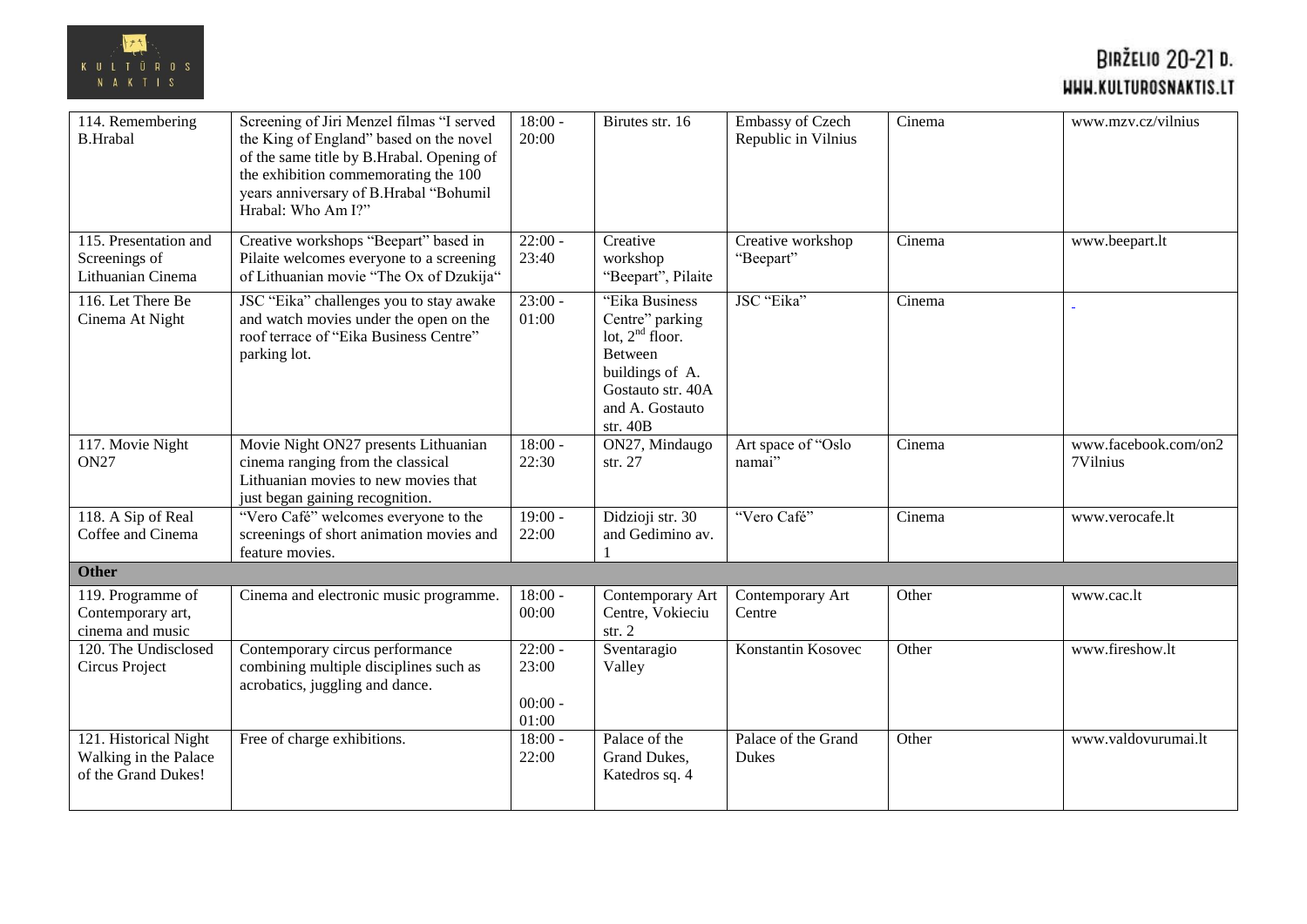

| 114. Remembering<br><b>B.Hrabal</b>                                   | Screening of Jiri Menzel filmas "I served<br>the King of England" based on the novel<br>of the same title by B.Hrabal. Opening of<br>the exhibition commemorating the 100<br>years anniversary of B.Hrabal "Bohumil<br>Hrabal: Who Am I?" | $18:00 -$<br>20:00                       | Birutes str. 16                                                                                                                                 | Embassy of Czech<br>Republic in Vilnius | Cinema | www.mzv.cz/vilnius               |
|-----------------------------------------------------------------------|-------------------------------------------------------------------------------------------------------------------------------------------------------------------------------------------------------------------------------------------|------------------------------------------|-------------------------------------------------------------------------------------------------------------------------------------------------|-----------------------------------------|--------|----------------------------------|
| 115. Presentation and<br>Screenings of<br>Lithuanian Cinema           | Creative workshops "Beepart" based in<br>Pilaite welcomes everyone to a screening<br>of Lithuanian movie "The Ox of Dzukija"                                                                                                              | $22:00 -$<br>23:40                       | Creative<br>workshop<br>"Beepart", Pilaite                                                                                                      | Creative workshop<br>"Beepart"          | Cinema | www.beepart.lt                   |
| 116. Let There Be<br>Cinema At Night                                  | JSC "Eika" challenges you to stay awake<br>and watch movies under the open on the<br>roof terrace of "Eika Business Centre"<br>parking lot.                                                                                               | $23:00 -$<br>01:00                       | "Eika Business<br>Centre" parking<br>lot, $2nd$ floor.<br><b>Between</b><br>buildings of A.<br>Gostauto str. 40A<br>and A. Gostauto<br>str. 40B | JSC "Eika"                              | Cinema |                                  |
| 117. Movie Night<br><b>ON27</b>                                       | Movie Night ON27 presents Lithuanian<br>cinema ranging from the classical<br>Lithuanian movies to new movies that<br>just began gaining recognition.                                                                                      | $18:00 -$<br>22:30                       | ON27, Mindaugo<br>str. 27                                                                                                                       | Art space of "Oslo<br>namai"            | Cinema | www.facebook.com/on2<br>7Vilnius |
| 118. A Sip of Real<br>Coffee and Cinema                               | "Vero Café" welcomes everyone to the<br>screenings of short animation movies and<br>feature movies.                                                                                                                                       | $19:00 -$<br>22:00                       | Didzioji str. 30<br>and Gedimino av.                                                                                                            | "Vero Café"                             | Cinema | www.verocafe.lt                  |
| <b>Other</b>                                                          |                                                                                                                                                                                                                                           |                                          |                                                                                                                                                 |                                         |        |                                  |
| 119. Programme of<br>Contemporary art,<br>cinema and music            | Cinema and electronic music programme.                                                                                                                                                                                                    | $18:00 -$<br>00:00                       | Contemporary Art<br>Centre, Vokieciu<br>str. $2$                                                                                                | Contemporary Art<br>Centre              | Other  | www.cac.lt                       |
| $\overline{120}$ . The Undisclosed<br>Circus Project                  | Contemporary circus performance<br>combining multiple disciplines such as<br>acrobatics, juggling and dance.                                                                                                                              | $22:00 -$<br>23:00<br>$00:00 -$<br>01:00 | Sventaragio<br>Valley                                                                                                                           | Konstantin Kosovec                      | Other  | www.fireshow.lt                  |
| 121. Historical Night<br>Walking in the Palace<br>of the Grand Dukes! | Free of charge exhibitions.                                                                                                                                                                                                               | $18:00 -$<br>22:00                       | Palace of the<br>Grand Dukes,<br>Katedros sq. 4                                                                                                 | Palace of the Grand<br>Dukes            | Other  | www.valdovurumai.lt              |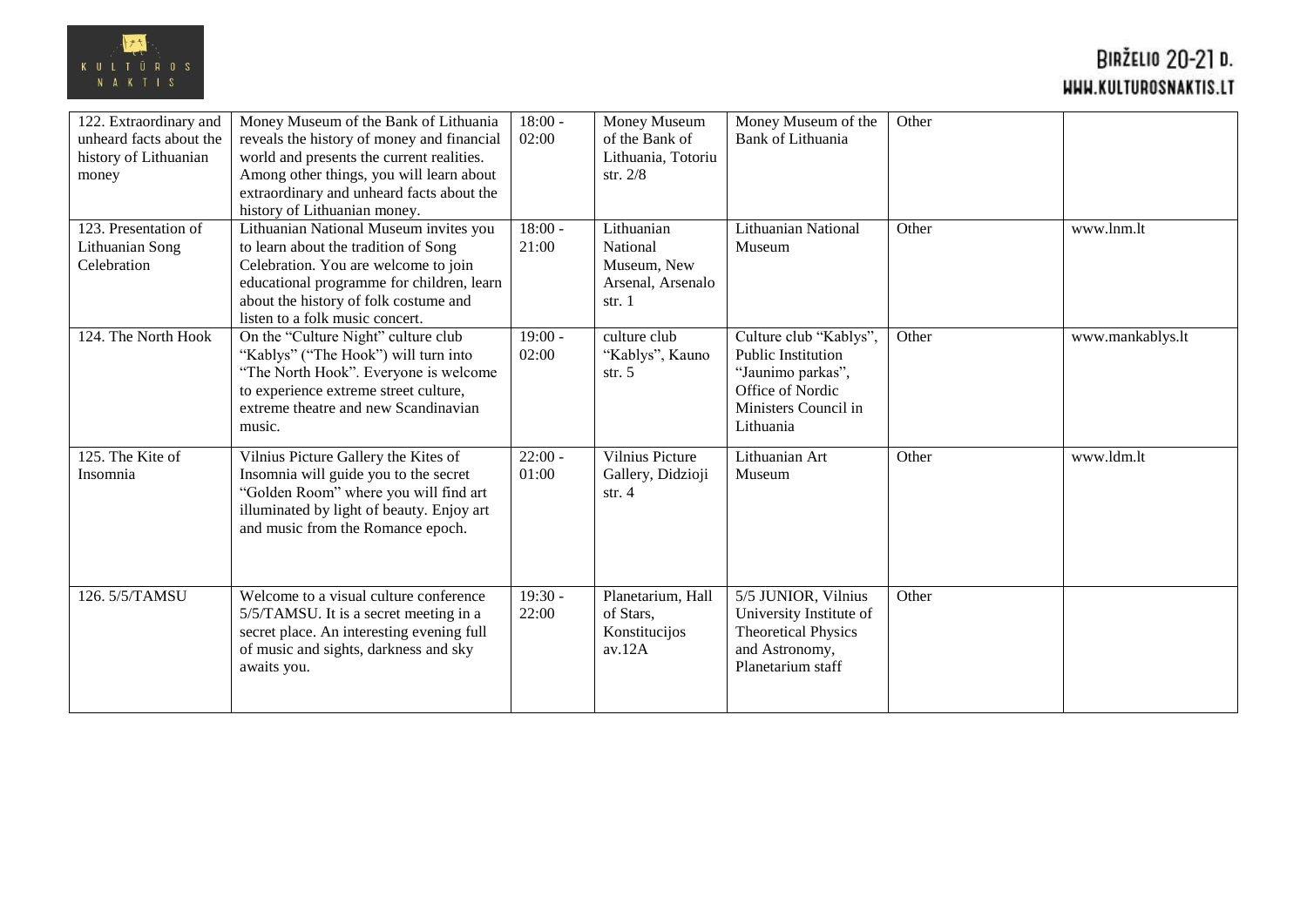

| 122. Extraordinary and<br>unheard facts about the<br>history of Lithuanian<br>money | Money Museum of the Bank of Lithuania<br>reveals the history of money and financial<br>world and presents the current realities.<br>Among other things, you will learn about<br>extraordinary and unheard facts about the<br>history of Lithuanian money. | $18:00 -$<br>02:00 | Money Museum<br>of the Bank of<br>Lithuania, Totoriu<br>str. $2/8$   | Money Museum of the<br><b>Bank of Lithuania</b>                                                                                   | Other |                  |
|-------------------------------------------------------------------------------------|-----------------------------------------------------------------------------------------------------------------------------------------------------------------------------------------------------------------------------------------------------------|--------------------|----------------------------------------------------------------------|-----------------------------------------------------------------------------------------------------------------------------------|-------|------------------|
| 123. Presentation of<br>Lithuanian Song<br>Celebration                              | Lithuanian National Museum invites you<br>to learn about the tradition of Song<br>Celebration. You are welcome to join<br>educational programme for children, learn<br>about the history of folk costume and<br>listen to a folk music concert.           | $18:00 -$<br>21:00 | Lithuanian<br>National<br>Museum, New<br>Arsenal, Arsenalo<br>str. 1 | <b>Lithuanian National</b><br>Museum                                                                                              | Other | www.lnm.lt       |
| 124. The North Hook                                                                 | On the "Culture Night" culture club<br>"Kablys" ("The Hook") will turn into<br>"The North Hook". Everyone is welcome<br>to experience extreme street culture,<br>extreme theatre and new Scandinavian<br>music.                                           | $19:00 -$<br>02:00 | culture club<br>"Kablys", Kauno<br>str. $5$                          | Culture club "Kablys",<br><b>Public Institution</b><br>"Jaunimo parkas",<br>Office of Nordic<br>Ministers Council in<br>Lithuania | Other | www.mankablys.lt |
| 125. The Kite of<br>Insomnia                                                        | Vilnius Picture Gallery the Kites of<br>Insomnia will guide you to the secret<br>"Golden Room" where you will find art<br>illuminated by light of beauty. Enjoy art<br>and music from the Romance epoch.                                                  | $22:00 -$<br>01:00 | <b>Vilnius Picture</b><br>Gallery, Didzioji<br>str. $4$              | Lithuanian Art<br>Museum                                                                                                          | Other | www.ldm.lt       |
| 126.5/5/TAMSU                                                                       | Welcome to a visual culture conference<br>5/5/TAMSU. It is a secret meeting in a<br>secret place. An interesting evening full<br>of music and sights, darkness and sky<br>awaits you.                                                                     | $19:30 -$<br>22:00 | Planetarium, Hall<br>of Stars,<br>Konstitucijos<br>av.12A            | 5/5 JUNIOR, Vilnius<br>University Institute of<br><b>Theoretical Physics</b><br>and Astronomy,<br>Planetarium staff               | Other |                  |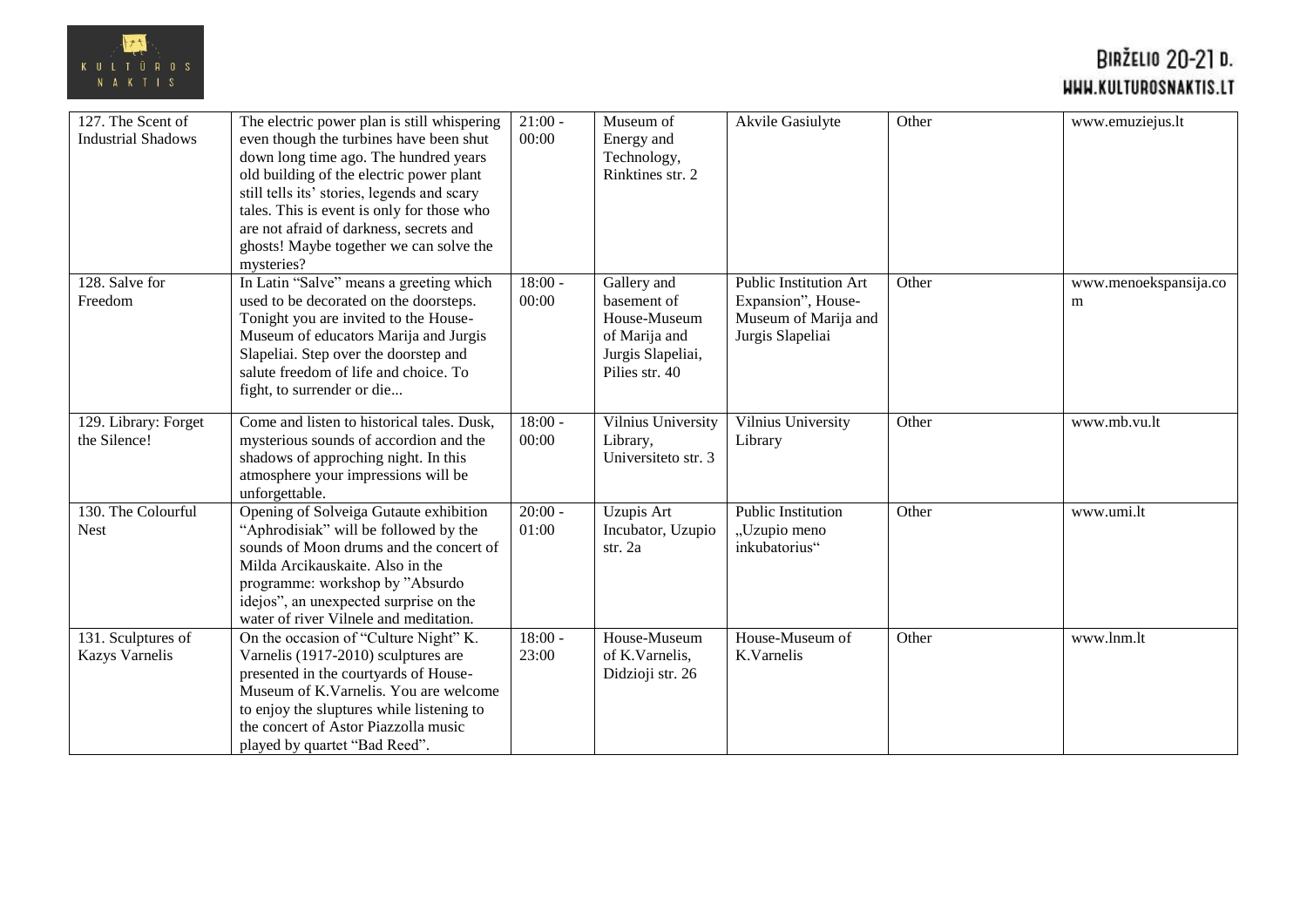

| 127. The Scent of<br><b>Industrial Shadows</b> | The electric power plan is still whispering<br>even though the turbines have been shut<br>down long time ago. The hundred years<br>old building of the electric power plant<br>still tells its' stories, legends and scary<br>tales. This is event is only for those who<br>are not afraid of darkness, secrets and<br>ghosts! Maybe together we can solve the<br>mysteries? | $21:00 -$<br>00:00 | Museum of<br>Energy and<br>Technology,<br>Rinktines str. 2                                         | Akvile Gasiulyte                                                                                | Other | www.emuziejus.lt           |
|------------------------------------------------|------------------------------------------------------------------------------------------------------------------------------------------------------------------------------------------------------------------------------------------------------------------------------------------------------------------------------------------------------------------------------|--------------------|----------------------------------------------------------------------------------------------------|-------------------------------------------------------------------------------------------------|-------|----------------------------|
| 128. Salve for<br>Freedom                      | In Latin "Salve" means a greeting which<br>used to be decorated on the doorsteps.<br>Tonight you are invited to the House-<br>Museum of educators Marija and Jurgis<br>Slapeliai. Step over the doorstep and<br>salute freedom of life and choice. To<br>fight, to surrender or die                                                                                          | $18:00 -$<br>00:00 | Gallery and<br>basement of<br>House-Museum<br>of Marija and<br>Jurgis Slapeliai,<br>Pilies str. 40 | <b>Public Institution Art</b><br>Expansion", House-<br>Museum of Marija and<br>Jurgis Slapeliai | Other | www.menoekspansija.co<br>m |
| 129. Library: Forget<br>the Silence!           | Come and listen to historical tales. Dusk,<br>mysterious sounds of accordion and the<br>shadows of approching night. In this<br>atmosphere your impressions will be<br>unforgettable.                                                                                                                                                                                        | $18:00 -$<br>00:00 | Vilnius University<br>Library,<br>Universiteto str. 3                                              | Vilnius University<br>Library                                                                   | Other | www.mb.vu.lt               |
| 130. The Colourful<br><b>Nest</b>              | Opening of Solveiga Gutaute exhibition<br>"Aphrodisiak" will be followed by the<br>sounds of Moon drums and the concert of<br>Milda Arcikauskaite. Also in the<br>programme: workshop by "Absurdo<br>idejos", an unexpected surprise on the<br>water of river Vilnele and meditation.                                                                                        | $20:00 -$<br>01:00 | Uzupis Art<br>Incubator, Uzupio<br>str. 2a                                                         | <b>Public Institution</b><br>"Uzupio meno<br>inkubatorius"                                      | Other | www.umi.lt                 |
| 131. Sculptures of<br><b>Kazys Varnelis</b>    | On the occasion of "Culture Night" K.<br>Varnelis (1917-2010) sculptures are<br>presented in the courtyards of House-<br>Museum of K. Varnelis. You are welcome<br>to enjoy the sluptures while listening to<br>the concert of Astor Piazzolla music<br>played by quartet "Bad Reed".                                                                                        | $18:00 -$<br>23:00 | House-Museum<br>of K.Varnelis,<br>Didzioji str. 26                                                 | House-Museum of<br>K.Varnelis                                                                   | Other | www.lnm.lt                 |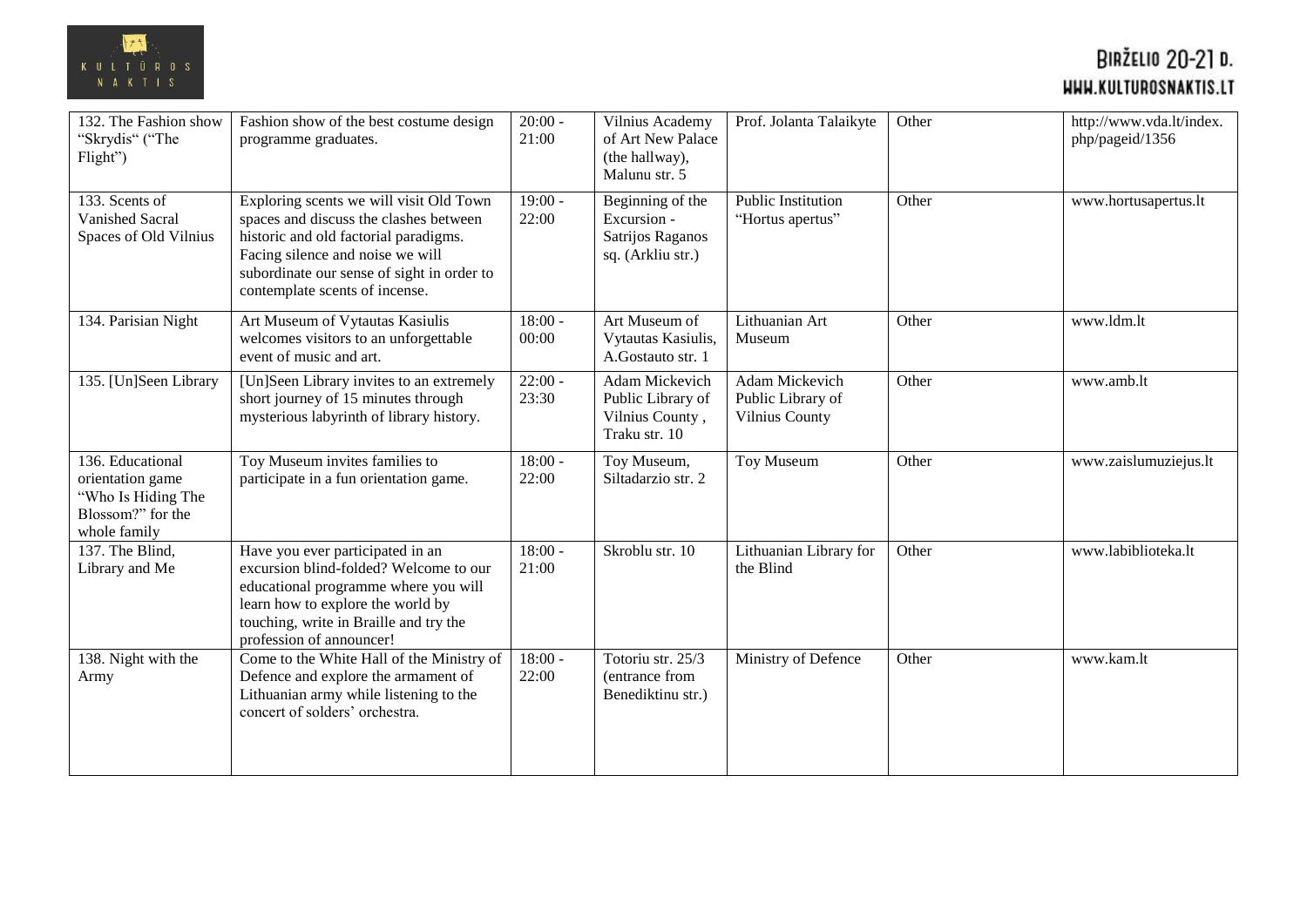

| 132. The Fashion show<br>"Skrydis" ("The<br>Flight")                                            | Fashion show of the best costume design<br>programme graduates.                                                                                                                                                                                | $20:00 -$<br>21:00 | Vilnius Academy<br>of Art New Palace<br>(the hallway),<br>Malunu str. 5  | Prof. Jolanta Talaikyte                               | Other | http://www.vda.lt/index.<br>php/pageid/1356 |
|-------------------------------------------------------------------------------------------------|------------------------------------------------------------------------------------------------------------------------------------------------------------------------------------------------------------------------------------------------|--------------------|--------------------------------------------------------------------------|-------------------------------------------------------|-------|---------------------------------------------|
| 133. Scents of<br><b>Vanished Sacral</b><br>Spaces of Old Vilnius                               | Exploring scents we will visit Old Town<br>spaces and discuss the clashes between<br>historic and old factorial paradigms.<br>Facing silence and noise we will<br>subordinate our sense of sight in order to<br>contemplate scents of incense. | $19:00 -$<br>22:00 | Beginning of the<br>Excursion -<br>Satrijos Raganos<br>sq. (Arkliu str.) | <b>Public Institution</b><br>"Hortus apertus"         | Other | www.hortusapertus.lt                        |
| 134. Parisian Night                                                                             | Art Museum of Vytautas Kasiulis<br>welcomes visitors to an unforgettable<br>event of music and art.                                                                                                                                            | $18:00 -$<br>00:00 | Art Museum of<br>Vytautas Kasiulis,<br>A.Gostauto str. 1                 | Lithuanian Art<br>Museum                              | Other | www.ldm.lt                                  |
| 135. [Un]Seen Library                                                                           | [Un]Seen Library invites to an extremely<br>short journey of 15 minutes through<br>mysterious labyrinth of library history.                                                                                                                    | $22:00 -$<br>23:30 | Adam Mickevich<br>Public Library of<br>Vilnius County,<br>Traku str. 10  | Adam Mickevich<br>Public Library of<br>Vilnius County | Other | www.amb.lt                                  |
| 136. Educational<br>orientation game<br>"Who Is Hiding The<br>Blossom?" for the<br>whole family | Toy Museum invites families to<br>participate in a fun orientation game.                                                                                                                                                                       | $18:00 -$<br>22:00 | Toy Museum,<br>Siltadarzio str. 2                                        | Toy Museum                                            | Other | www.zaislumuziejus.lt                       |
| 137. The Blind,<br>Library and Me                                                               | Have you ever participated in an<br>excursion blind-folded? Welcome to our<br>educational programme where you will<br>learn how to explore the world by<br>touching, write in Braille and try the<br>profession of announcer!                  | $18:00 -$<br>21:00 | Skroblu str. 10                                                          | Lithuanian Library for<br>the Blind                   | Other | www.labiblioteka.lt                         |
| 138. Night with the<br>Army                                                                     | Come to the White Hall of the Ministry of<br>Defence and explore the armament of<br>Lithuanian army while listening to the<br>concert of solders' orchestra.                                                                                   | $18:00 -$<br>22:00 | Totoriu str. 25/3<br>(entrance from<br>Benediktinu str.)                 | Ministry of Defence                                   | Other | www.kam.lt                                  |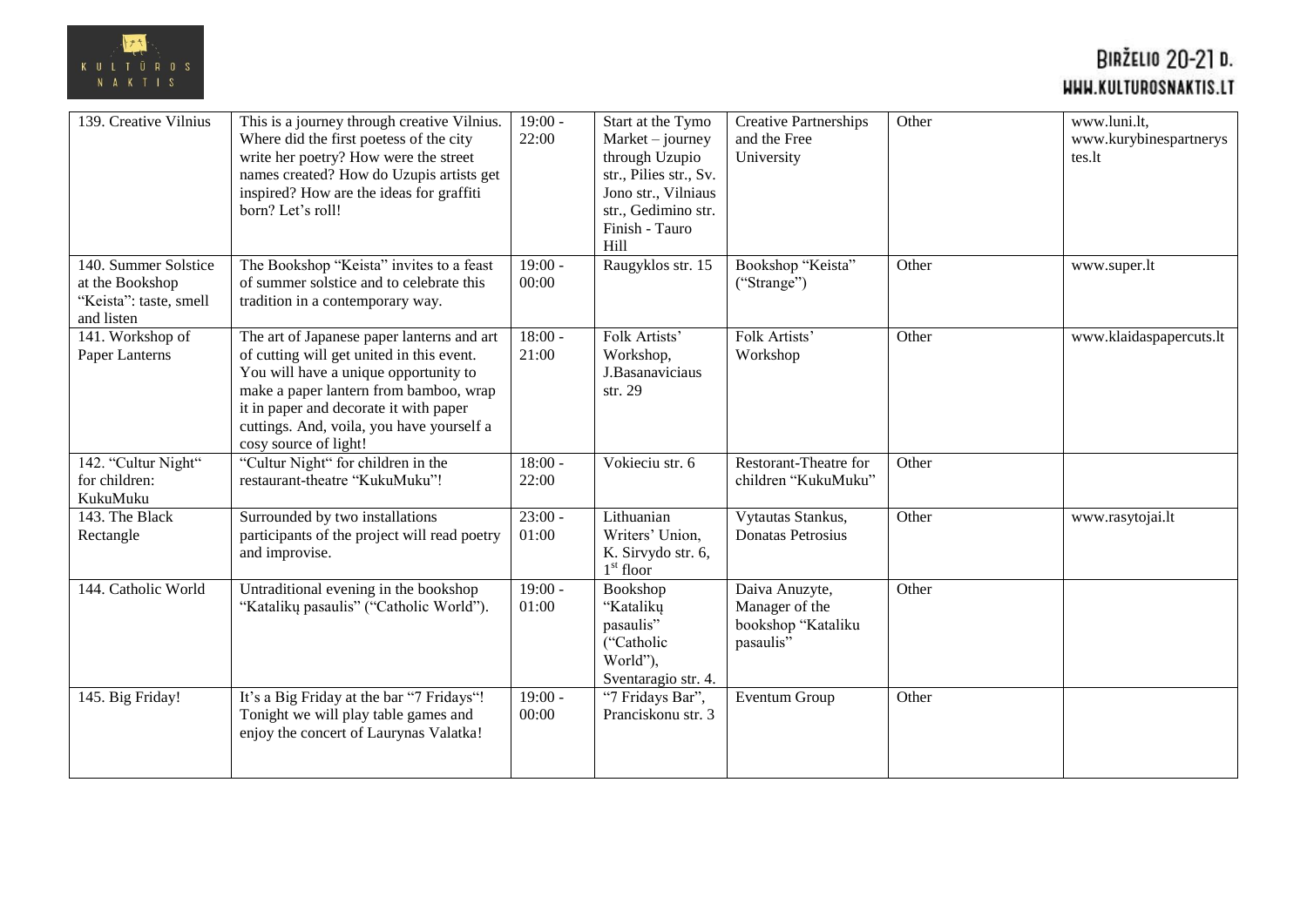

| 139. Creative Vilnius                                                           | This is a journey through creative Vilnius.<br>Where did the first poetess of the city<br>write her poetry? How were the street<br>names created? How do Uzupis artists get<br>inspired? How are the ideas for graffiti<br>born? Let's roll!                                               | $19:00 -$<br>22:00 | Start at the Tymo<br>$Market - journey$<br>through Uzupio<br>str., Pilies str., Sv.<br>Jono str., Vilniaus<br>str., Gedimino str.<br>Finish - Tauro<br>Hill | <b>Creative Partnerships</b><br>and the Free<br>University          | Other | www.luni.lt,<br>www.kurybinespartnerys<br>tes.lt |
|---------------------------------------------------------------------------------|--------------------------------------------------------------------------------------------------------------------------------------------------------------------------------------------------------------------------------------------------------------------------------------------|--------------------|-------------------------------------------------------------------------------------------------------------------------------------------------------------|---------------------------------------------------------------------|-------|--------------------------------------------------|
| 140. Summer Solstice<br>at the Bookshop<br>"Keista": taste, smell<br>and listen | The Bookshop "Keista" invites to a feast<br>of summer solstice and to celebrate this<br>tradition in a contemporary way.                                                                                                                                                                   | $19:00 -$<br>00:00 | Raugyklos str. 15                                                                                                                                           | Bookshop "Keista"<br>("Strange")                                    | Other | www.super.lt                                     |
| 141. Workshop of<br>Paper Lanterns                                              | The art of Japanese paper lanterns and art<br>of cutting will get united in this event.<br>You will have a unique opportunity to<br>make a paper lantern from bamboo, wrap<br>it in paper and decorate it with paper<br>cuttings. And, voila, you have yourself a<br>cosy source of light! | $18:00 -$<br>21:00 | Folk Artists'<br>Workshop,<br>J.Basanaviciaus<br>str. 29                                                                                                    | Folk Artists'<br>Workshop                                           | Other | www.klaidaspapercuts.lt                          |
| 142. "Cultur Night"<br>for children:<br>KukuMuku                                | "Cultur Night" for children in the<br>restaurant-theatre "KukuMuku"!                                                                                                                                                                                                                       | $18:00 -$<br>22:00 | Vokieciu str. 6                                                                                                                                             | <b>Restorant-Theatre for</b><br>children "KukuMuku"                 | Other |                                                  |
| 143. The Black<br>Rectangle                                                     | Surrounded by two installations<br>participants of the project will read poetry<br>and improvise.                                                                                                                                                                                          | $23:00 -$<br>01:00 | Lithuanian<br>Writers' Union,<br>K. Sirvydo str. 6,<br>$1^{\rm st}$ floor                                                                                   | Vytautas Stankus,<br>Donatas Petrosius                              | Other | www.rasytojai.lt                                 |
| 144. Catholic World                                                             | Untraditional evening in the bookshop<br>"Katalikų pasaulis" ("Catholic World").                                                                                                                                                                                                           | $19:00 -$<br>01:00 | Bookshop<br>"Kataliku<br>pasaulis"<br>("Catholic<br>World"),<br>Sventaragio str. 4.                                                                         | Daiva Anuzyte,<br>Manager of the<br>bookshop "Kataliku<br>pasaulis" | Other |                                                  |
| 145. Big Friday!                                                                | It's a Big Friday at the bar "7 Fridays"!<br>Tonight we will play table games and<br>enjoy the concert of Laurynas Valatka!                                                                                                                                                                | $19:00 -$<br>00:00 | "7 Fridays Bar",<br>Pranciskonu str. 3                                                                                                                      | Eventum Group                                                       | Other |                                                  |